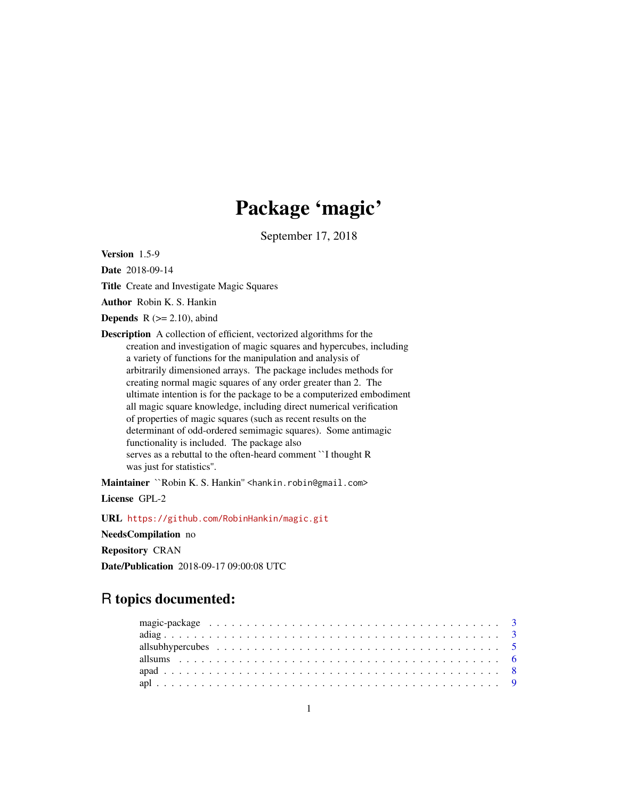# Package 'magic'

September 17, 2018

Version 1.5-9

Date 2018-09-14

Title Create and Investigate Magic Squares

Author Robin K. S. Hankin

**Depends**  $R$  ( $>= 2.10$ ), abind

Description A collection of efficient, vectorized algorithms for the creation and investigation of magic squares and hypercubes, including a variety of functions for the manipulation and analysis of arbitrarily dimensioned arrays. The package includes methods for creating normal magic squares of any order greater than 2. The ultimate intention is for the package to be a computerized embodiment all magic square knowledge, including direct numerical verification of properties of magic squares (such as recent results on the determinant of odd-ordered semimagic squares). Some antimagic functionality is included. The package also serves as a rebuttal to the often-heard comment ``I thought R was just for statistics''.

Maintainer ``Robin K. S. Hankin" <hankin.robin@gmail.com>

License GPL-2

URL <https://github.com/RobinHankin/magic.git>

NeedsCompilation no

Repository CRAN

Date/Publication 2018-09-17 09:00:08 UTC

# R topics documented: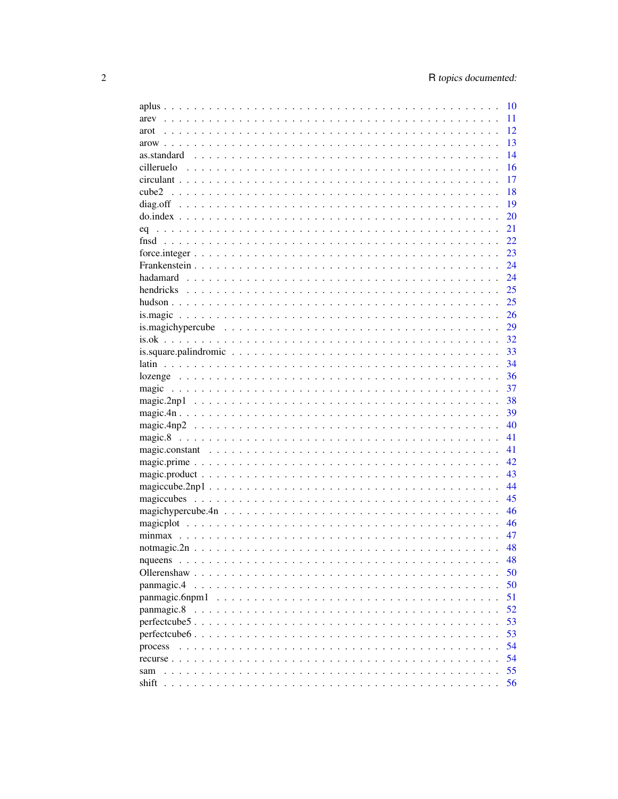|                                                                                                  |  |  | 10  |
|--------------------------------------------------------------------------------------------------|--|--|-----|
| arev                                                                                             |  |  | 11  |
| arot                                                                                             |  |  | 12  |
|                                                                                                  |  |  | 13  |
|                                                                                                  |  |  | 14  |
|                                                                                                  |  |  | 16  |
|                                                                                                  |  |  | 17  |
| cube2                                                                                            |  |  | 18  |
|                                                                                                  |  |  | 19  |
|                                                                                                  |  |  | 20  |
|                                                                                                  |  |  | 21  |
|                                                                                                  |  |  | 22  |
|                                                                                                  |  |  | 23  |
|                                                                                                  |  |  | 24  |
|                                                                                                  |  |  | 24  |
|                                                                                                  |  |  | 25  |
|                                                                                                  |  |  |     |
|                                                                                                  |  |  | 25  |
|                                                                                                  |  |  | 26  |
| is.magichypercube $\ldots \ldots \ldots \ldots \ldots \ldots \ldots \ldots \ldots \ldots \ldots$ |  |  | 29  |
|                                                                                                  |  |  | 32  |
|                                                                                                  |  |  | 33  |
|                                                                                                  |  |  | 34  |
|                                                                                                  |  |  | 36  |
|                                                                                                  |  |  | 37  |
|                                                                                                  |  |  | 38  |
|                                                                                                  |  |  | 39  |
|                                                                                                  |  |  | 40  |
|                                                                                                  |  |  | 41  |
|                                                                                                  |  |  | 41  |
|                                                                                                  |  |  | 42. |
|                                                                                                  |  |  | 43  |
|                                                                                                  |  |  | 44  |
|                                                                                                  |  |  | 45  |
|                                                                                                  |  |  | 46  |
|                                                                                                  |  |  | 46  |
|                                                                                                  |  |  | 47  |
|                                                                                                  |  |  | 48  |
|                                                                                                  |  |  | 48  |
| Ollerenshaw.                                                                                     |  |  | 50  |
| panmagic.4                                                                                       |  |  | 50  |
| panmagic.6npm1                                                                                   |  |  | 51  |
| panmagic.8                                                                                       |  |  | 52  |
| perfectcube5.                                                                                    |  |  | 53  |
| $\mathbf{1}$ $\mathbf{1}$ $\mathbf{1}$ $\mathbf{1}$<br>perfectcube6.                             |  |  | 53  |
|                                                                                                  |  |  | 54  |
| process<br>$\cdots$                                                                              |  |  |     |
| $recurse \ldots$ .                                                                               |  |  | 54  |
| sam                                                                                              |  |  | 55  |
| shift                                                                                            |  |  | 56  |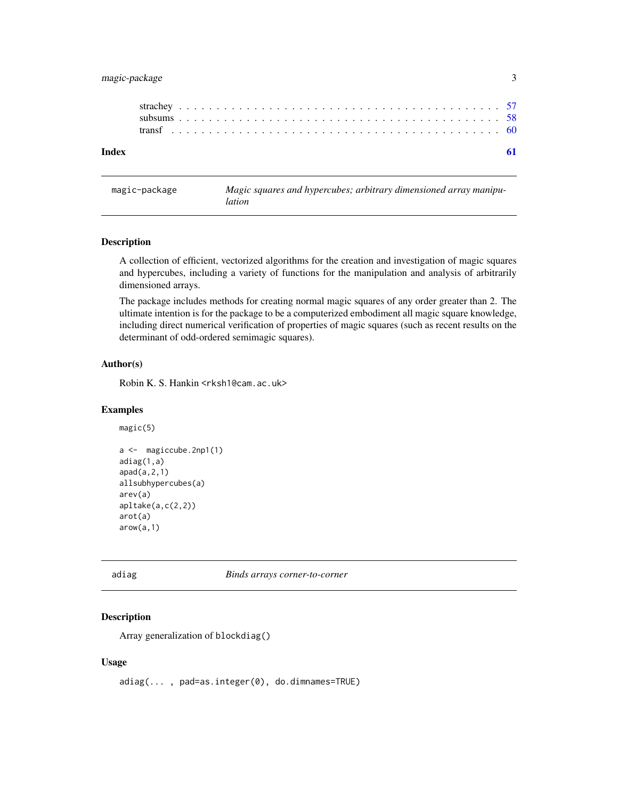# <span id="page-2-0"></span>magic-package 3

magic-package *Magic squares and hypercubes; arbitrary dimensioned array manipulation*

#### Description

A collection of efficient, vectorized algorithms for the creation and investigation of magic squares and hypercubes, including a variety of functions for the manipulation and analysis of arbitrarily dimensioned arrays.

The package includes methods for creating normal magic squares of any order greater than 2. The ultimate intention is for the package to be a computerized embodiment all magic square knowledge, including direct numerical verification of properties of magic squares (such as recent results on the determinant of odd-ordered semimagic squares).

#### Author(s)

Robin K. S. Hankin <rksh1@cam.ac.uk>

#### Examples

magic(5)

```
a <- magiccube.2np1(1)
adiag(1,a)
apad(a,2,1)
allsubhypercubes(a)
arev(a)
apltake(a,c(2,2))
arot(a)
arow(a,1)
```
<span id="page-2-1"></span>

adiag *Binds arrays corner-to-corner*

# Description

Array generalization of blockdiag()

#### Usage

adiag(... , pad=as.integer(0), do.dimnames=TRUE)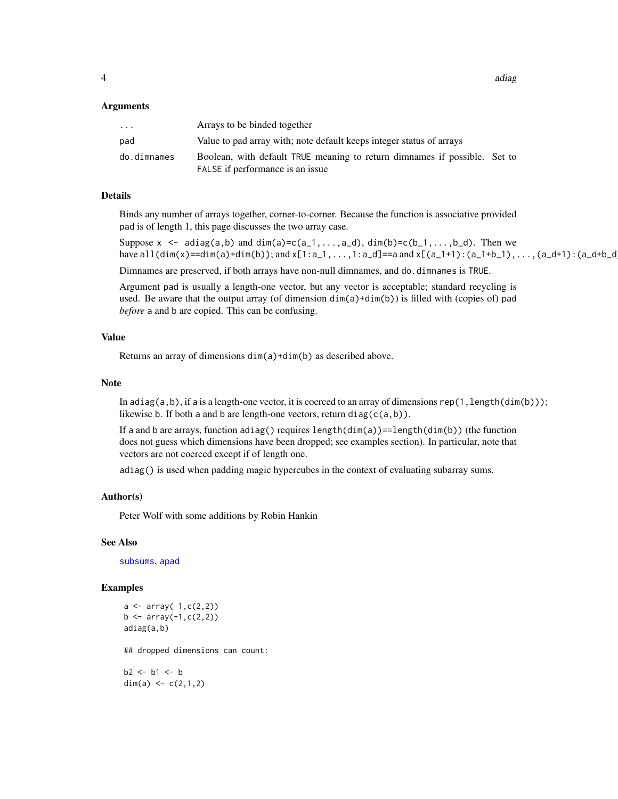<span id="page-3-0"></span>4 adiag and 2008 and 2008 and 2008 and 2008 and 2008 and 2008 and 2008 and 2008 and 2008 and 2008 and 2008 and

#### Arguments

| .           | Arrays to be binded together                                                                                  |
|-------------|---------------------------------------------------------------------------------------------------------------|
| pad         | Value to pad array with; note default keeps integer status of arrays                                          |
| do.dimnames | Boolean, with default TRUE meaning to return dimnames if possible. Set to<br>FALSE if performance is an issue |

# Details

Binds any number of arrays together, corner-to-corner. Because the function is associative provided pad is of length 1, this page discusses the two array case.

Suppose  $x \le -$  adiag(a,b) and dim(a)=c(a\_1,..,a\_d), dim(b)=c(b\_1,...,b\_d). Then we have  $all(dim(x)=dim(a)+dim(b)); and x[1:a_1,\ldots,1:a_d]==a$  and  $x[(a_1+1):(a_1+b_1),\ldots,(a_d+1):(a_d+b_d)]$ 

Dimnames are preserved, if both arrays have non-null dimnames, and do.dimnames is TRUE.

Argument pad is usually a length-one vector, but any vector is acceptable; standard recycling is used. Be aware that the output array (of dimension  $dim(a)+dim(b))$  is filled with (copies of) pad *before* a and b are copied. This can be confusing.

#### Value

Returns an array of dimensions dim(a)+dim(b) as described above.

# Note

In adiag(a,b), if a is a length-one vector, it is coerced to an array of dimensions rep(1, length(dim(b))); likewise b. If both a and b are length-one vectors, return diag( $c(a,b)$ ).

If a and b are arrays, function  $\text{adiag}()$  requires  $\text{length}(dim(a)) == \text{length}(dim(b))$  (the function does not guess which dimensions have been dropped; see examples section). In particular, note that vectors are not coerced except if of length one.

adiag() is used when padding magic hypercubes in the context of evaluating subarray sums.

#### Author(s)

Peter Wolf with some additions by Robin Hankin

#### See Also

[subsums](#page-57-1), [apad](#page-7-1)

#### Examples

```
a \leftarrow array( 1, c(2, 2))b \leq -\arctan(-1, c(2, 2))adiag(a,b)
```
## dropped dimensions can count:

 $b2 < -b1 < -b$ dim(a) <-  $c(2,1,2)$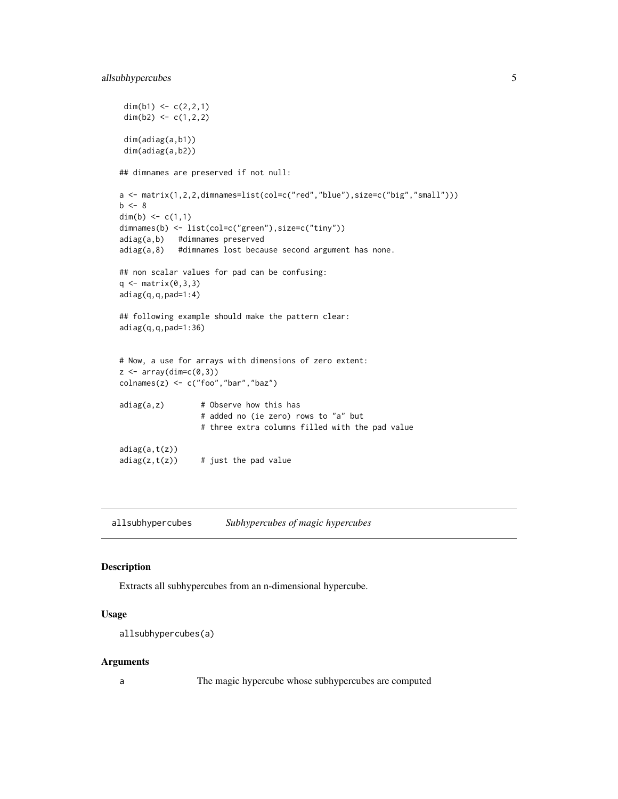# <span id="page-4-0"></span>allsubhypercubes 5

```
dim(b1) <- c(2, 2, 1)dim(b2) <- c(1, 2, 2)dim(adiag(a,b1))
dim(adiag(a,b2))
## dimnames are preserved if not null:
a <- matrix(1,2,2,dimnames=list(col=c("red","blue"),size=c("big","small")))
b \le -8dim(b) <-c(1,1)dimnames(b) <- list(col=c("green"),size=c("tiny"))
adiag(a,b) #dimnames preserved
adiag(a,8) #dimnames lost because second argument has none.
## non scalar values for pad can be confusing:
q \leftarrow matrix(0, 3, 3)adiag(q,q,pad=1:4)
## following example should make the pattern clear:
adiag(q,q,pad=1:36)
# Now, a use for arrays with dimensions of zero extent:
z \leftarrow \text{array}(dim=c(0,3))colnames(z) <- c("foo","bar","baz")
adiag(a, z) # Observe how this has
                  # added no (ie zero) rows to "a" but
                  # three extra columns filled with the pad value
adiag(a,t(z))
adiag(z, t(z)) # just the pad value
```
<span id="page-4-1"></span>allsubhypercubes *Subhypercubes of magic hypercubes*

#### Description

Extracts all subhypercubes from an n-dimensional hypercube.

#### Usage

```
allsubhypercubes(a)
```
#### Arguments

a The magic hypercube whose subhypercubes are computed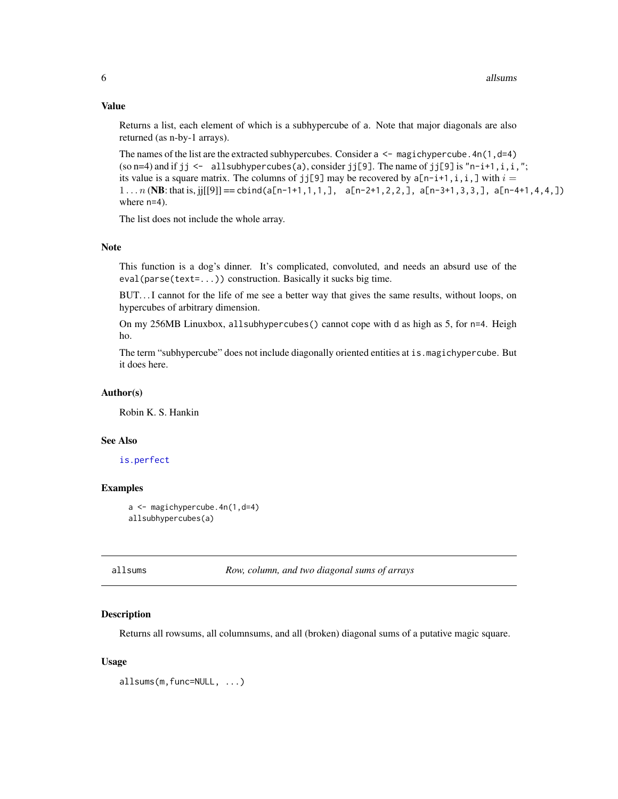#### <span id="page-5-0"></span>Value

Returns a list, each element of which is a subhypercube of a. Note that major diagonals are also returned (as n-by-1 arrays).

The names of the list are the extracted subhypercubes. Consider  $a \leq -$  magichypercube.  $4n(1, d=4)$ (so n=4) and if jj  $\leq$  all subhypercubes(a), consider jj[9]. The name of jj[9] is "n-i+1, i, i,"; its value is a square matrix. The columns of  $jj[9]$  may be recovered by  $a[n-i+1,i,i]$  with  $i =$ 1... n (NB: that is, jj[[9]] == cbind(a[n-1+1,1,1,], a[n-2+1,2,2,], a[n-3+1,3,3,], a[n-4+1,4,4,]) where n=4).

The list does not include the whole array.

#### Note

This function is a dog's dinner. It's complicated, convoluted, and needs an absurd use of the eval(parse(text=...)) construction. Basically it sucks big time.

BUT. . . I cannot for the life of me see a better way that gives the same results, without loops, on hypercubes of arbitrary dimension.

On my 256MB Linuxbox, allsubhypercubes() cannot cope with d as high as 5, for n=4. Heigh ho.

The term "subhypercube" does not include diagonally oriented entities at is.magichypercube. But it does here.

#### Author(s)

Robin K. S. Hankin

#### See Also

[is.perfect](#page-28-1)

# Examples

```
a <- magichypercube.4n(1,d=4)
allsubhypercubes(a)
```
allsums *Row, column, and two diagonal sums of arrays*

#### Description

Returns all rowsums, all columnsums, and all (broken) diagonal sums of a putative magic square.

#### Usage

allsums(m,func=NULL, ...)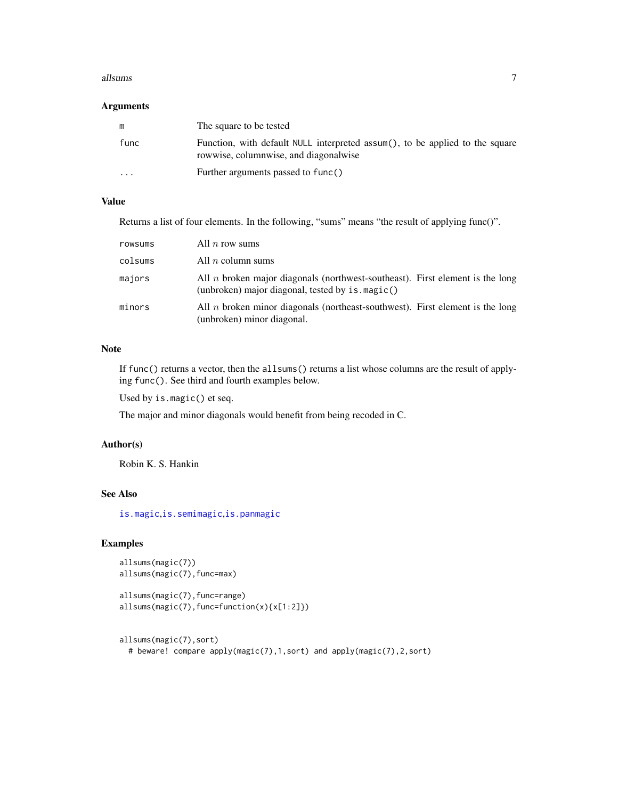#### <span id="page-6-0"></span>allsums **7**

#### Arguments

| m                       | The square to be tested                                                                                               |
|-------------------------|-----------------------------------------------------------------------------------------------------------------------|
| func                    | Function, with default NULL interpreted assum(), to be applied to the square<br>rowwise, columnwise, and diagonalwise |
| $\cdot$ $\cdot$ $\cdot$ | Further arguments passed to func()                                                                                    |

# Value

Returns a list of four elements. In the following, "sums" means "the result of applying func()".

| rowsums | All $n$ row sums                                                                                                                             |
|---------|----------------------------------------------------------------------------------------------------------------------------------------------|
| colsums | All <i>n</i> column sums                                                                                                                     |
| majors  | All $n$ broken major diagonals (northwest-southeast). First element is the long<br>(unbroken) major diagonal, tested by $is \text{.magic}()$ |
| minors  | All $n$ broken minor diagonals (northeast-southwest). First element is the long<br>(unbroken) minor diagonal.                                |

# Note

If func() returns a vector, then the allsums() returns a list whose columns are the result of applying func(). See third and fourth examples below.

Used by is.magic() et seq.

The major and minor diagonals would benefit from being recoded in C.

# Author(s)

Robin K. S. Hankin

# See Also

[is.magic](#page-25-1),[is.semimagic](#page-25-2),[is.panmagic](#page-25-2)

```
allsums(magic(7))
allsums(magic(7),func=max)
```

```
allsums(magic(7),func=range)
allsums(magic(7),func=function(x){x[1:2]})
```

```
allsums(magic(7),sort)
 # beware! compare apply(magic(7),1,sort) and apply(magic(7),2,sort)
```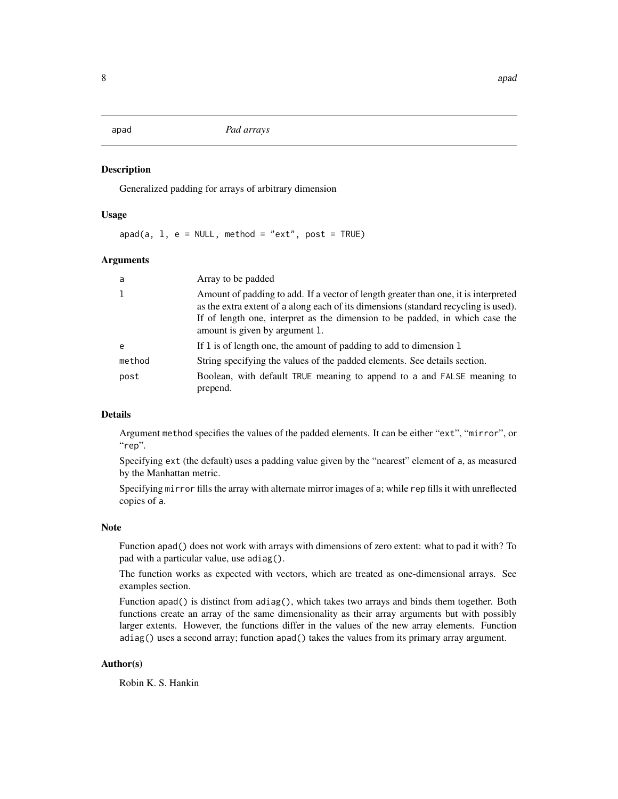<span id="page-7-1"></span><span id="page-7-0"></span>apad *Pad arrays*

# Description

Generalized padding for arrays of arbitrary dimension

# Usage

 $apad(a, 1, e = NULL, method = "ext", post = TRUE)$ 

# Arguments

| a      | Array to be padded                                                                                                                                                                                                                                                                           |
|--------|----------------------------------------------------------------------------------------------------------------------------------------------------------------------------------------------------------------------------------------------------------------------------------------------|
| 1      | Amount of padding to add. If a vector of length greater than one, it is interpreted<br>as the extra extent of a along each of its dimensions (standard recycling is used).<br>If of length one, interpret as the dimension to be padded, in which case the<br>amount is given by argument 1. |
| e      | If 1 is of length one, the amount of padding to add to dimension 1                                                                                                                                                                                                                           |
| method | String specifying the values of the padded elements. See details section.                                                                                                                                                                                                                    |
| post   | Boolean, with default TRUE meaning to append to a and FALSE meaning to<br>prepend.                                                                                                                                                                                                           |

# Details

Argument method specifies the values of the padded elements. It can be either "ext", "mirror", or "rep".

Specifying ext (the default) uses a padding value given by the "nearest" element of a, as measured by the Manhattan metric.

Specifying mirror fills the array with alternate mirror images of a; while rep fills it with unreflected copies of a.

#### Note

Function apad() does not work with arrays with dimensions of zero extent: what to pad it with? To pad with a particular value, use adiag().

The function works as expected with vectors, which are treated as one-dimensional arrays. See examples section.

Function apad() is distinct from adiag(), which takes two arrays and binds them together. Both functions create an array of the same dimensionality as their array arguments but with possibly larger extents. However, the functions differ in the values of the new array elements. Function adiag() uses a second array; function apad() takes the values from its primary array argument.

# Author(s)

Robin K. S. Hankin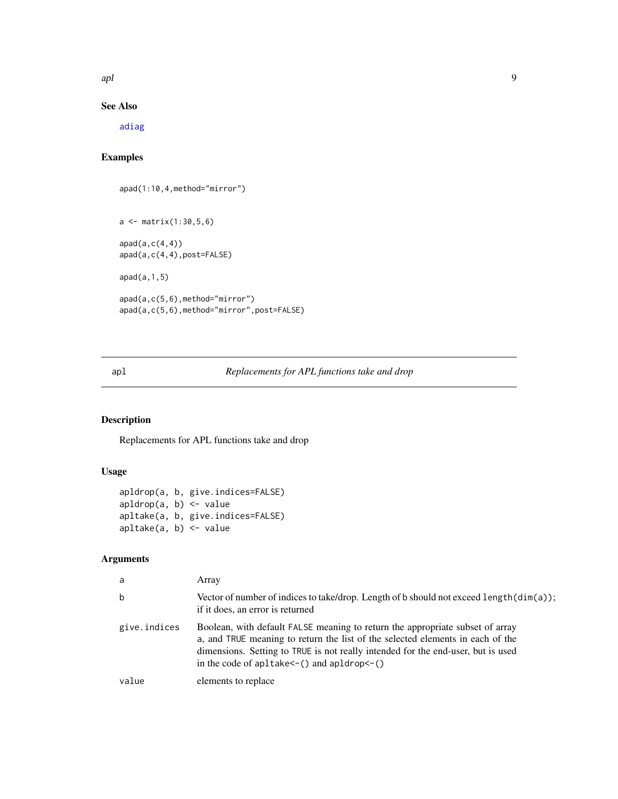<span id="page-8-0"></span>apl 9

# See Also

[adiag](#page-2-1)

# Examples

```
apad(1:10,4,method="mirror")
a \leftarrow matrix(1:30, 5, 6)apad(a, c(4,4))apad(a,c(4,4),post=FALSE)
apad(a,1,5)
apad(a,c(5,6),method="mirror")
apad(a,c(5,6),method="mirror",post=FALSE)
```
# apl *Replacements for APL functions take and drop*

# Description

Replacements for APL functions take and drop

# Usage

```
apldrop(a, b, give.indices=FALSE)
apldrop(a, b) \leftarrow valueapltake(a, b, give.indices=FALSE)
apltake(a, b) <- value
```
#### Arguments

| a            | Array                                                                                                                                                                                                                                                                                                     |
|--------------|-----------------------------------------------------------------------------------------------------------------------------------------------------------------------------------------------------------------------------------------------------------------------------------------------------------|
| b            | Vector of number of indices to take/drop. Length of b should not exceed length $(\dim(a))$ ;<br>if it does, an error is returned                                                                                                                                                                          |
| give.indices | Boolean, with default FALSE meaning to return the appropriate subset of array<br>a, and TRUE meaning to return the list of the selected elements in each of the<br>dimensions. Setting to TRUE is not really intended for the end-user, but is used<br>in the code of $apltake < -()$ and $apldrop < -()$ |
| value        | elements to replace                                                                                                                                                                                                                                                                                       |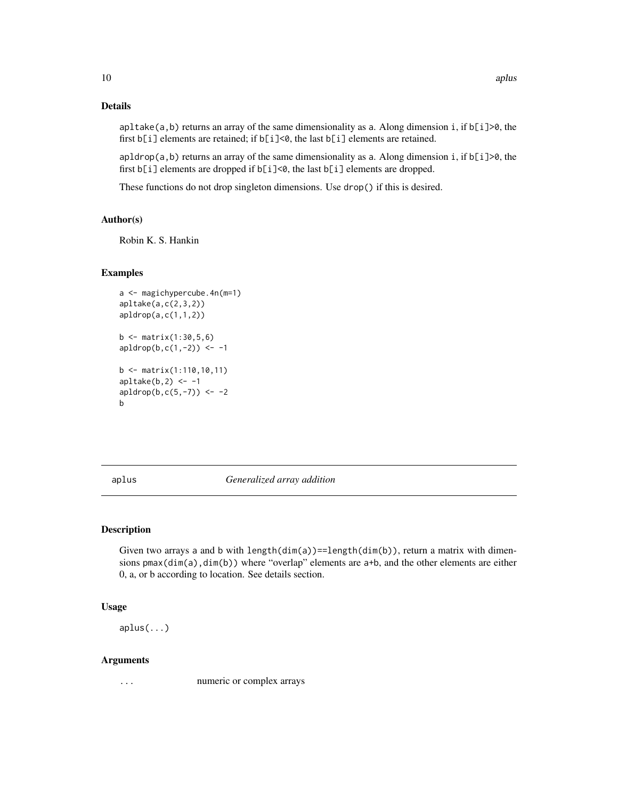# Details

apltake(a,b) returns an array of the same dimensionality as a. Along dimension i, if  $b[i]\geq 0$ , the first b[i] elements are retained; if b[i]<0, the last b[i] elements are retained.

apldrop(a,b) returns an array of the same dimensionality as a. Along dimension i, if  $b[i]\geq 0$ , the first b[i] elements are dropped if b[i]<0, the last b[i] elements are dropped.

These functions do not drop singleton dimensions. Use drop() if this is desired.

#### Author(s)

Robin K. S. Hankin

# Examples

```
a <- magichypercube.4n(m=1)
apltake(a,c(2,3,2))
apldrop(a,c(1,1,2))
b \le - matrix(1:30, 5, 6)apldrop(b, c(1, -2)) \leftarrow -1b <- matrix(1:110,10,11)
apltake(b,2) <- -1
apldrop(b, c(5, -7)) <- -2
b
```
aplus *Generalized array addition*

#### Description

Given two arrays a and b with length(dim(a))==length(dim(b)), return a matrix with dimensions  $pmax(dim(a),dim(b))$  where "overlap" elements are a+b, and the other elements are either 0, a, or b according to location. See details section.

#### Usage

aplus(...)

#### Arguments

... numeric or complex arrays

<span id="page-9-0"></span>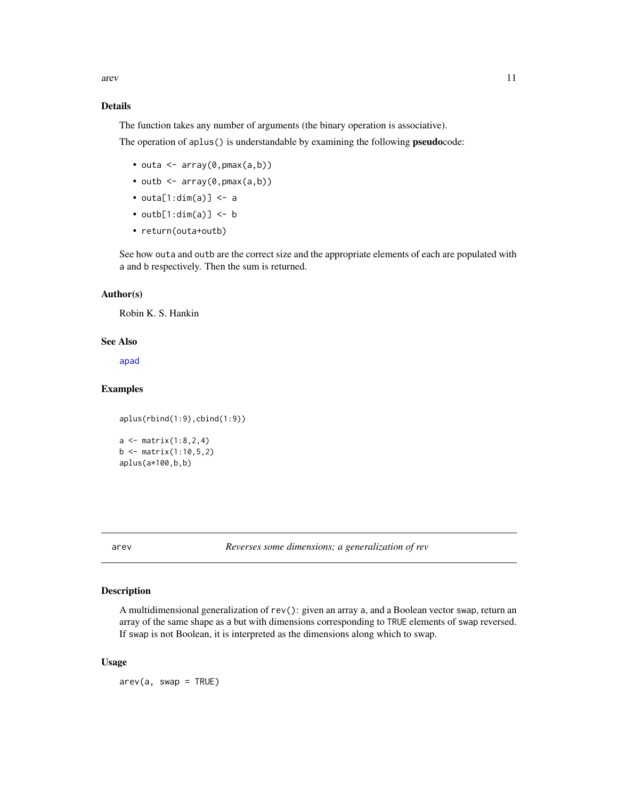<span id="page-10-0"></span>arev 11

# Details

The function takes any number of arguments (the binary operation is associative).

The operation of aplus() is understandable by examining the following **pseudo**code:

- outa  $\leq$  array(0, pmax(a,b))
- outb  $\leq$  array(0, pmax(a,b))
- outa $[1:dim(a)]$  <- a
- outb[ $1:dim(a)$ ] <- b
- return(outa+outb)

See how outa and outb are the correct size and the appropriate elements of each are populated with a and b respectively. Then the sum is returned.

# Author(s)

Robin K. S. Hankin

#### See Also

[apad](#page-7-1)

# Examples

```
aplus(rbind(1:9),cbind(1:9))
a \leftarrow matrix(1:8, 2, 4)b \le matrix(1:10,5,2)
aplus(a*100,b,b)
```
<span id="page-10-1"></span>

arev *Reverses some dimensions; a generalization of rev*

# Description

A multidimensional generalization of rev(): given an array a, and a Boolean vector swap, return an array of the same shape as a but with dimensions corresponding to TRUE elements of swap reversed. If swap is not Boolean, it is interpreted as the dimensions along which to swap.

#### Usage

 $arev(a, swap = TRUE)$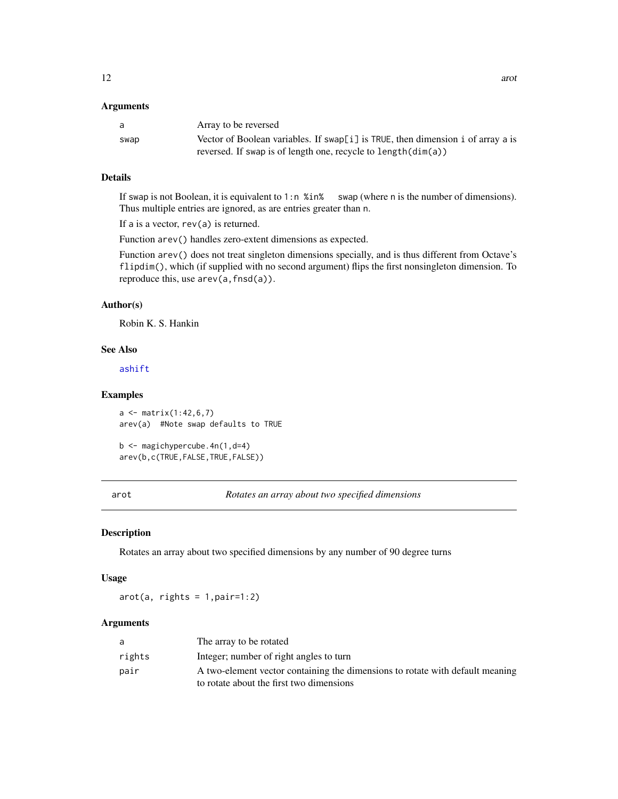#### <span id="page-11-0"></span>Arguments

| a    | Array to be reversed                                                                 |
|------|--------------------------------------------------------------------------------------|
| swap | Vector of Boolean variables. If $swap[i]$ is $TRUE$ , then dimension i of array a is |
|      | reversed. If swap is of length one, recycle to $length(dim(a))$                      |

# Details

If swap is not Boolean, it is equivalent to 1:n %in% swap (where n is the number of dimensions). Thus multiple entries are ignored, as are entries greater than n.

If a is a vector,  $rev(a)$  is returned.

Function arev() handles zero-extent dimensions as expected.

Function arev() does not treat singleton dimensions specially, and is thus different from Octave's flipdim(), which (if supplied with no second argument) flips the first nonsingleton dimension. To reproduce this, use arev(a, fnsd(a)).

# Author(s)

Robin K. S. Hankin

# See Also

[ashift](#page-55-1)

# Examples

```
a \leftarrow matrix(1:42, 6, 7)arev(a) #Note swap defaults to TRUE
```

```
b \leq - magichypercube.4n(1,d=4)
arev(b,c(TRUE,FALSE,TRUE,FALSE))
```
arot *Rotates an array about two specified dimensions*

# Description

Rotates an array about two specified dimensions by any number of 90 degree turns

#### Usage

 $arot(a, right s = 1, pair=1:2)$ 

#### Arguments

| a      | The array to be rotated                                                       |
|--------|-------------------------------------------------------------------------------|
| rights | Integer; number of right angles to turn                                       |
| pair   | A two-element vector containing the dimensions to rotate with default meaning |
|        | to rotate about the first two dimensions                                      |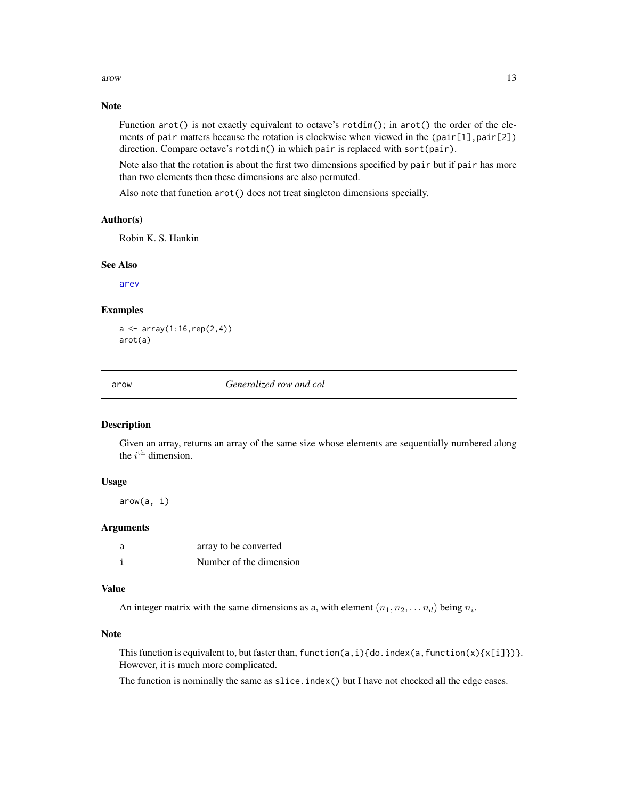<span id="page-12-0"></span>arow 13

# Note

Function arot() is not exactly equivalent to octave's rotdim(); in arot() the order of the elements of pair matters because the rotation is clockwise when viewed in the (pair[1],pair[2]) direction. Compare octave's rotdim() in which pair is replaced with sort(pair).

Note also that the rotation is about the first two dimensions specified by pair but if pair has more than two elements then these dimensions are also permuted.

Also note that function arot() does not treat singleton dimensions specially.

#### Author(s)

Robin K. S. Hankin

#### See Also

[arev](#page-10-1)

# Examples

 $a \leftarrow array(1:16, rep(2,4))$ arot(a)

<span id="page-12-1"></span>

arow *Generalized row and col*

#### Description

Given an array, returns an array of the same size whose elements are sequentially numbered along the  $i^{\text{th}}$  dimension.

#### Usage

arow(a, i)

# Arguments

| a | array to be converted   |
|---|-------------------------|
|   | Number of the dimension |

#### Value

An integer matrix with the same dimensions as a, with element  $(n_1, n_2, \ldots n_d)$  being  $n_i$ .

#### Note

This function is equivalent to, but faster than, function(a,i){do.index(a,function(x){x[i]})}. However, it is much more complicated.

The function is nominally the same as slice.index() but I have not checked all the edge cases.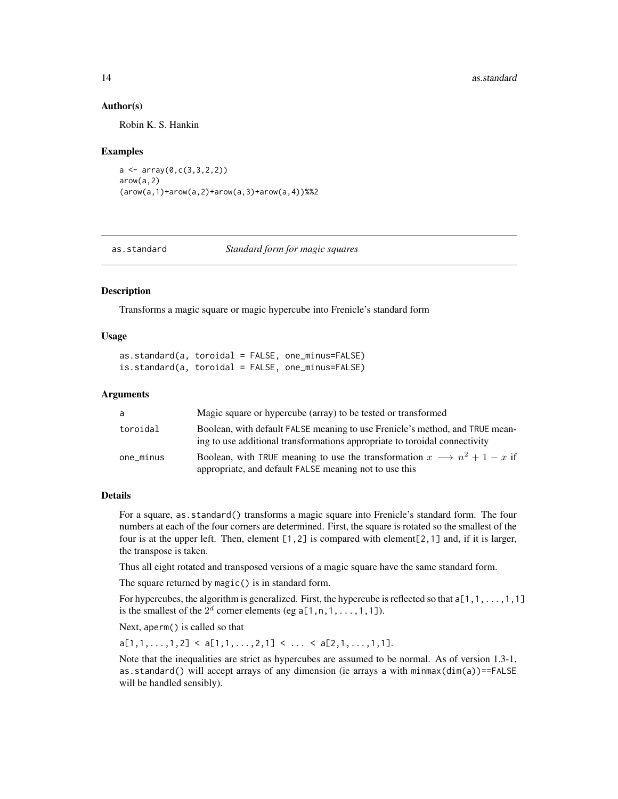#### Author(s)

Robin K. S. Hankin

#### Examples

```
a \leftarrow array(0, c(3, 3, 2, 2))arow(a,2)
(\text{arow}(a,1)+\text{arow}(a,2)+\text{arow}(a,3)+\text{arow}(a,4))%2
```
<span id="page-13-1"></span>as.standard *Standard form for magic squares*

#### <span id="page-13-2"></span>Description

Transforms a magic square or magic hypercube into Frenicle's standard form

# Usage

```
as.standard(a, toroidal = FALSE, one_minus=FALSE)
is.standard(a, toroidal = FALSE, one_minus=FALSE)
```
#### Arguments

| a         | Magic square or hypercube (array) to be tested or transformed                                                                                              |
|-----------|------------------------------------------------------------------------------------------------------------------------------------------------------------|
| toroidal  | Boolean, with default FALSE meaning to use Frenicle's method, and TRUE mean-<br>ing to use additional transformations appropriate to toroidal connectivity |
| one_minus | Boolean, with TRUE meaning to use the transformation $x \rightarrow n^2 + 1 - x$ if<br>appropriate, and default FALSE meaning not to use this              |

# Details

For a square, as. standard() transforms a magic square into Frenicle's standard form. The four numbers at each of the four corners are determined. First, the square is rotated so the smallest of the four is at the upper left. Then, element  $[1,2]$  is compared with element $[2,1]$  and, if it is larger, the transpose is taken.

Thus all eight rotated and transposed versions of a magic square have the same standard form.

The square returned by magic() is in standard form.

For hypercubes, the algorithm is generalized. First, the hypercube is reflected so that  $a[1,1,\ldots,1,1]$ is the smallest of the  $2^d$  corner elements (eg a[1,n,1,..,1,1]).

Next, aperm() is called so that

 $a[1,1,\ldots,1,2] < a[1,1,\ldots,2,1] < \ldots < a[2,1,\ldots,1,1].$ 

Note that the inequalities are strict as hypercubes are assumed to be normal. As of version 1.3-1, as.standard() will accept arrays of any dimension (ie arrays a with minmax(dim(a))==FALSE will be handled sensibly).

<span id="page-13-0"></span>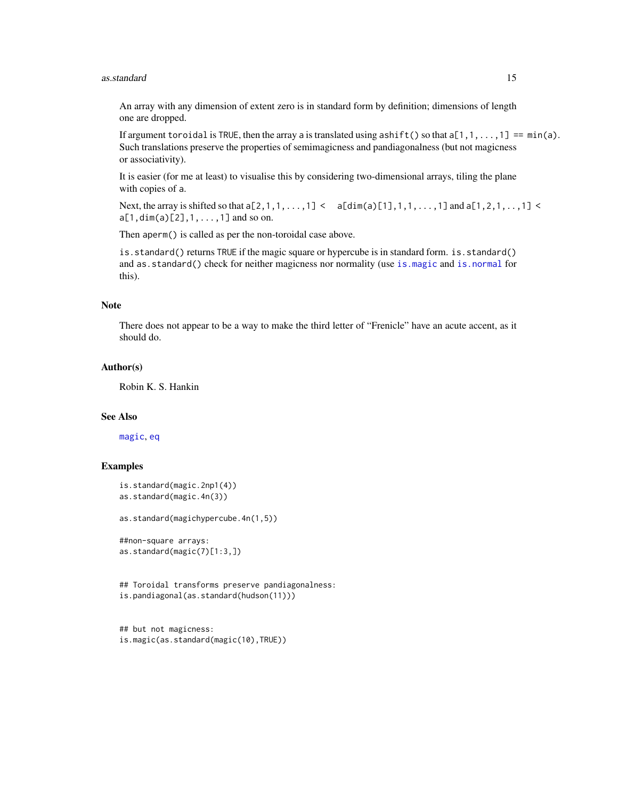#### <span id="page-14-0"></span>as.standard 15

An array with any dimension of extent zero is in standard form by definition; dimensions of length one are dropped.

If argument toroidal is TRUE, then the array a is translated using ashift() so that  $a[1,1,\ldots,1] == min(a)$ . Such translations preserve the properties of semimagicness and pandiagonalness (but not magicness or associativity).

It is easier (for me at least) to visualise this by considering two-dimensional arrays, tiling the plane with copies of a.

Next, the array is shifted so that  $a[2,1,1, \ldots, 1]$  <  $a[dim(a)[1],1,1, \ldots, 1]$  and  $a[1,2,1, \ldots, 1]$  <  $a[1, \dim(a)[2], 1, \ldots, 1]$  and so on.

Then aperm() is called as per the non-toroidal case above.

is.standard() returns TRUE if the magic square or hypercube is in standard form. is.standard() and as.standard() check for neither magicness nor normality (use [is.magic](#page-25-1) and [is.normal](#page-25-2) for this).

# Note

There does not appear to be a way to make the third letter of "Frenicle" have an acute accent, as it should do.

#### Author(s)

Robin K. S. Hankin

# See Also

[magic](#page-36-1), [eq](#page-20-1)

```
is.standard(magic.2np1(4))
as.standard(magic.4n(3))
as.standard(magichypercube.4n(1,5))
##non-square arrays:
as.standard(magic(7)[1:3,])
```

```
## Toroidal transforms preserve pandiagonalness:
is.pandiagonal(as.standard(hudson(11)))
```

```
## but not magicness:
is.magic(as.standard(magic(10),TRUE))
```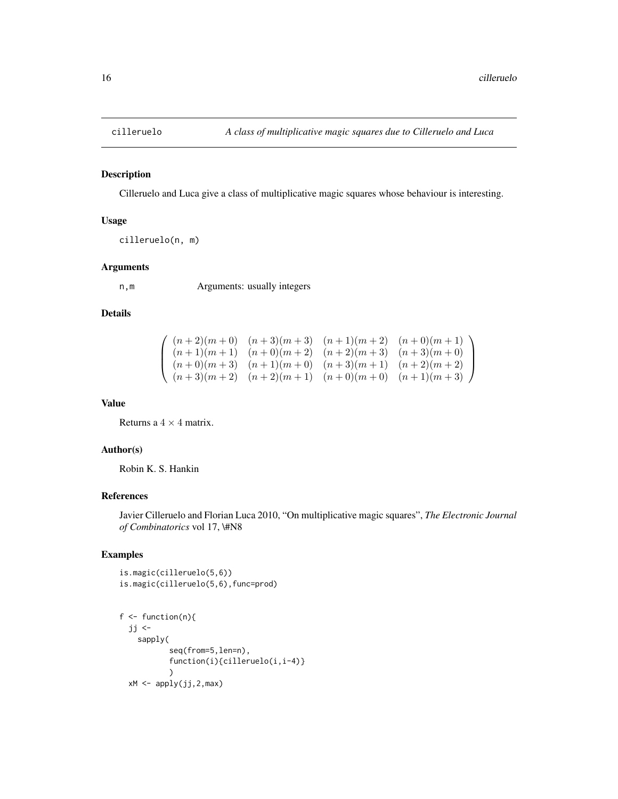<span id="page-15-0"></span>

# Description

Cilleruelo and Luca give a class of multiplicative magic squares whose behaviour is interesting.

# Usage

cilleruelo(n, m)

#### Arguments

n,m Arguments: usually integers

# Details

|  | $(n+2)(m+0)$ $(n+3)(m+3)$ $(n+1)(m+2)$ $(n+0)(m+1)$ |  |
|--|-----------------------------------------------------|--|
|  | $(n+1)(m+1)$ $(n+0)(m+2)$ $(n+2)(m+3)$ $(n+3)(m+0)$ |  |
|  | $(n+0)(m+3)$ $(n+1)(m+0)$ $(n+3)(m+1)$ $(n+2)(m+2)$ |  |
|  | $(n+3)(m+2)$ $(n+2)(m+1)$ $(n+0)(m+0)$ $(n+1)(m+3)$ |  |

# Value

Returns a  $4 \times 4$  matrix.

# Author(s)

Robin K. S. Hankin

#### References

Javier Cilleruelo and Florian Luca 2010, "On multiplicative magic squares", *The Electronic Journal of Combinatorics* vol 17, \#N8

# Examples

is.magic(cilleruelo(5,6)) is.magic(cilleruelo(5,6),func=prod)

```
f \leftarrow function(n){
  jj <-
    sapply(
            seq(from=5,len=n),
            function(i){cilleruelo(i,i-4)}
            )
  xM \leftarrow apply(jj,2,max)
```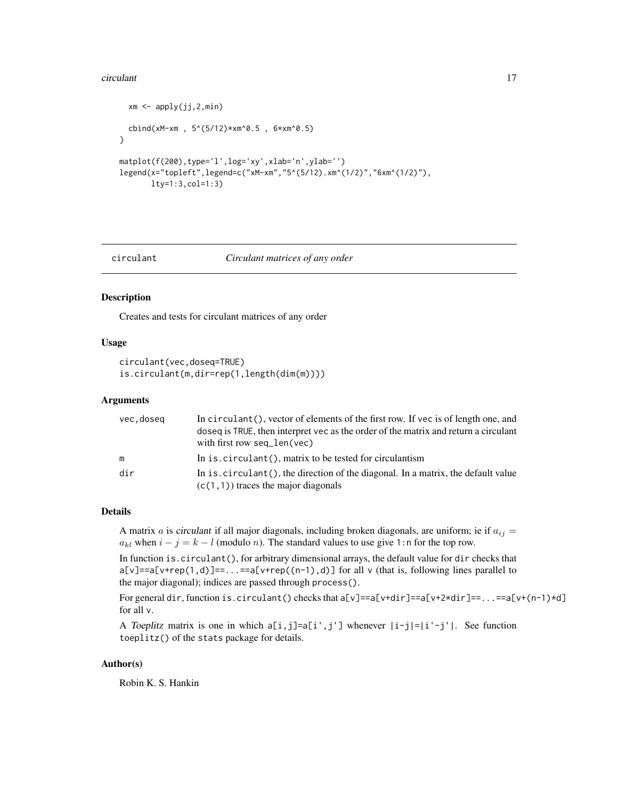#### <span id="page-16-0"></span>circulant the contract of the contract of the contract of the contract of the contract of the contract of the contract of the contract of the contract of the contract of the contract of the contract of the contract of the

```
xm \leftarrow apply(jj,2,min)cbind(xM-xm , 5^(5/12)*xm^0.5 , 6*xm^0.5)
}
matplot(f(200),type='l',log='xy',xlab='n',ylab='')
legend(x="topleft",legend=c("xM-xm","5^(5/12).xm^(1/2)","6xm^(1/2)"),
       lty=1:3,col=1:3)
```
#### circulant *Circulant matrices of any order*

#### Description

Creates and tests for circulant matrices of any order

#### Usage

```
circulant(vec,doseq=TRUE)
is.circulant(m,dir=rep(1,length(dim(m))))
```
#### Arguments

| vec.doseg | In circulant(), vector of elements of the first row. If yec is of length one, and                                          |
|-----------|----------------------------------------------------------------------------------------------------------------------------|
|           | doseq is TRUE, then interpret vec as the order of the matrix and return a circulant                                        |
|           | with first row $seq{\text -}len(vec)$                                                                                      |
| m         | In is. circulant(), matrix to be tested for circulantism                                                                   |
| dir       | In is. circulant(), the direction of the diagonal. In a matrix, the default value<br>$(c(1,1))$ traces the major diagonals |

#### Details

A matrix a is circulant if all major diagonals, including broken diagonals, are uniform; ie if  $a_{ij} =$  $a_{kl}$  when  $i - j = k - l$  (modulo *n*). The standard values to use give 1:n for the top row.

In function is.circulant(), for arbitrary dimensional arrays, the default value for dir checks that  $a[v] == a[v+rep(1,d)] == ... == a[v+rep((n-1),d)]$  for all v (that is, following lines parallel to the major diagonal); indices are passed through process().

For general dir, function is.circulant() checks that a[v]==a[v+dir]==a[v+2\*dir]==...==a[v+(n-1)\*d] for all v.

A Toeplitz matrix is one in which  $a[i,j]=a[i',j']$  whenever  $|i-j|=|i'-j'|$ . See function toeplitz() of the stats package for details.

# Author(s)

Robin K. S. Hankin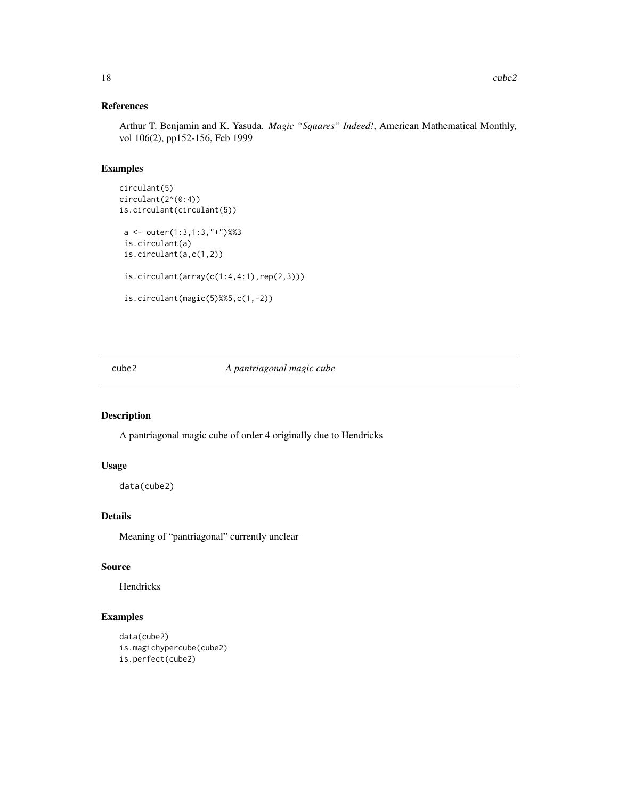# <span id="page-17-0"></span>References

Arthur T. Benjamin and K. Yasuda. *Magic "Squares" Indeed!*, American Mathematical Monthly, vol 106(2), pp152-156, Feb 1999

# Examples

```
circulant(5)
circulant(2^(0:4))
is.circulant(circulant(5))
 a <- outer(1:3,1:3,"+")%%3
 is.circulant(a)
 is.circulant(a,c(1,2))
 is.circulant(array(c(1:4,4:1),rep(2,3)))
 is.circulant(magic(5)%%5,c(1,-2))
```
# cube2 *A pantriagonal magic cube*

# Description

A pantriagonal magic cube of order 4 originally due to Hendricks

#### Usage

data(cube2)

# Details

Meaning of "pantriagonal" currently unclear

#### Source

Hendricks

```
data(cube2)
is.magichypercube(cube2)
is.perfect(cube2)
```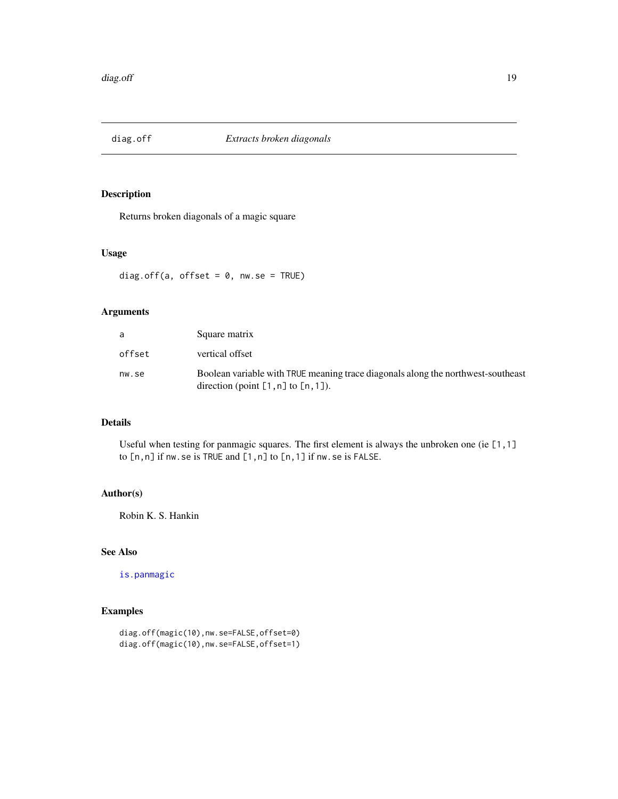<span id="page-18-0"></span>

# Description

Returns broken diagonals of a magic square

#### Usage

diag.off(a, offset =  $0$ , nw.se = TRUE)

# Arguments

| a      | Square matrix                                                                                                                |
|--------|------------------------------------------------------------------------------------------------------------------------------|
| offset | vertical offset                                                                                                              |
| nw.se  | Boolean variable with TRUE meaning trace diagonals along the northwest-southeast<br>direction (point $[1, n]$ to $[n, 1]$ ). |

# Details

Useful when testing for panmagic squares. The first element is always the unbroken one (ie [1,1] to [n,n] if nw.se is TRUE and [1,n] to [n,1] if nw.se is FALSE.

# Author(s)

Robin K. S. Hankin

## See Also

[is.panmagic](#page-25-2)

```
diag.off(magic(10),nw.se=FALSE,offset=0)
diag.off(magic(10),nw.se=FALSE,offset=1)
```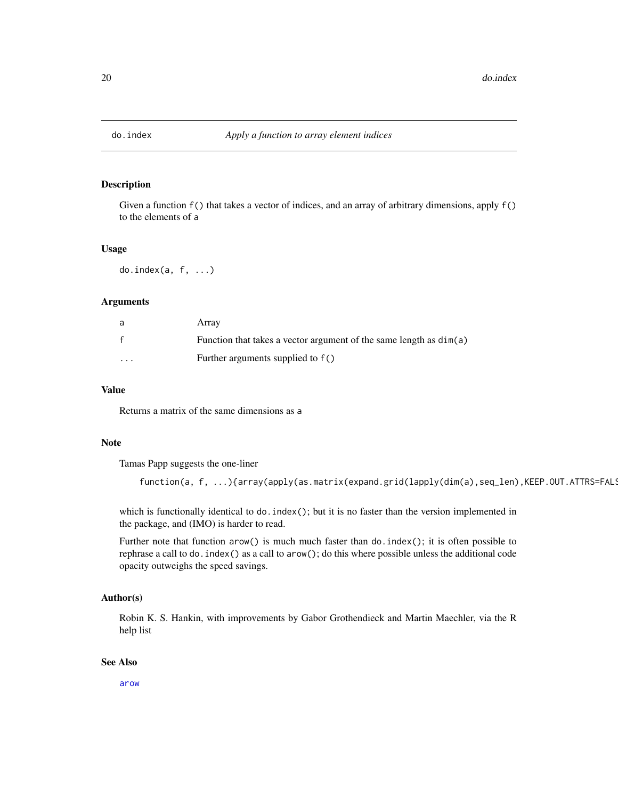<span id="page-19-0"></span>

# Description

Given a function  $f()$  that takes a vector of indices, and an array of arbitrary dimensions, apply  $f()$ to the elements of a

#### Usage

do.index $(a, f, \ldots)$ 

#### Arguments

| a | Array                                                                |
|---|----------------------------------------------------------------------|
|   | Function that takes a vector argument of the same length as $dim(a)$ |
| . | Further arguments supplied to f()                                    |

# Value

Returns a matrix of the same dimensions as a

#### Note

Tamas Papp suggests the one-liner

function(a, f, ...){array(apply(as.matrix(expand.grid(lapply(dim(a),seq\_len),KEEP.OUT.ATTRS=FALS

which is functionally identical to do.  $index()$ ; but it is no faster than the version implemented in the package, and (IMO) is harder to read.

Further note that function arow() is much much faster than do.index(); it is often possible to rephrase a call to do.index() as a call to arow(); do this where possible unless the additional code opacity outweighs the speed savings.

#### Author(s)

Robin K. S. Hankin, with improvements by Gabor Grothendieck and Martin Maechler, via the R help list

#### See Also

[arow](#page-12-1)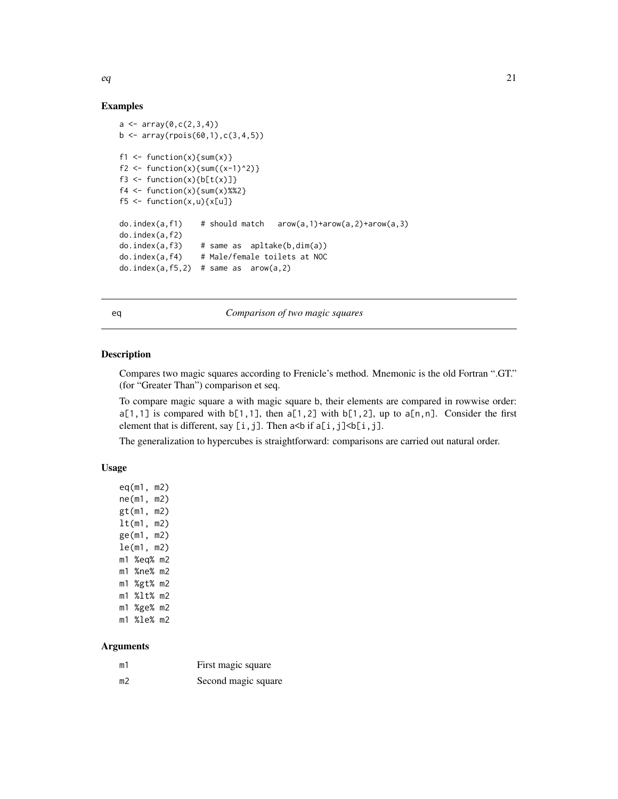#### Examples

```
a \leftarrow array(0, c(2, 3, 4))b \leftarrow array(rpois(60,1), c(3,4,5))f1 \leq function(x){sum(x)}
f2 <- function(x){sum((x-1)^2)}
f3 <- function(x){b[t(x)]}
f4 <- function(x){sum(x)%2}
f5 \leftarrow function(x,u){x[u]}
do.index(a, f1) # should match arrow(a, 1) + arrow(a, 2) + arrow(a, 3)do.index(a,f2)
do.index(a,f3) # same as apltake(b,dim(a))
do.index(a,f4) # Male/female toilets at NOC
do.index(a,f5,2) # same as arow(a,2)
```
#### <span id="page-20-1"></span>eq *Comparison of two magic squares*

# Description

Compares two magic squares according to Frenicle's method. Mnemonic is the old Fortran ".GT." (for "Greater Than") comparison et seq.

To compare magic square a with magic square b, their elements are compared in rowwise order:  $a[1,1]$  is compared with  $b[1,1]$ , then  $a[1,2]$  with  $b[1,2]$ , up to  $a[n,n]$ . Consider the first element that is different, say  $[i, j]$ . Then  $a < b$  if  $a[i, j] < b[i, j]$ .

The generalization to hypercubes is straightforward: comparisons are carried out natural order.

#### Usage

| eq(m1      |                          | m2) |
|------------|--------------------------|-----|
| ne(m1      | $\ddot{\phantom{0}}$     | m2) |
| gt(m1      | $\ddot{\phantom{0}}$     | m2) |
| lt(m1)     | $\overline{\phantom{a}}$ | m2) |
| ge(m1,     |                          | m2) |
| le(m1,     |                          | m2) |
| m1 %eq% m2 |                          |     |
| m1 %ne% m2 |                          |     |
| m1 %gt% m2 |                          |     |
| m1 %lt% m2 |                          |     |
| m1         | %ge% m2                  |     |
| m1         | %le% m2                  |     |

#### Arguments

| m1 | First magic square  |
|----|---------------------|
| m2 | Second magic square |

<span id="page-20-0"></span>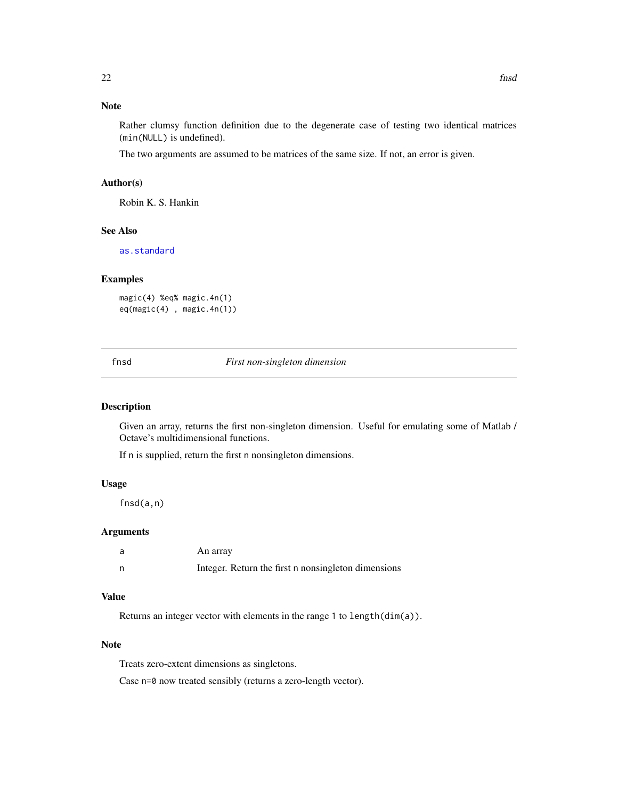# <span id="page-21-0"></span>Note

Rather clumsy function definition due to the degenerate case of testing two identical matrices (min(NULL) is undefined).

The two arguments are assumed to be matrices of the same size. If not, an error is given.

#### Author(s)

Robin K. S. Hankin

#### See Also

[as.standard](#page-13-1)

#### Examples

magic(4) %eq% magic.4n(1) eq(magic(4) , magic.4n(1))

fnsd *First non-singleton dimension*

#### Description

Given an array, returns the first non-singleton dimension. Useful for emulating some of Matlab / Octave's multidimensional functions.

If n is supplied, return the first n nonsingleton dimensions.

#### Usage

fnsd(a,n)

# Arguments

| An array                                            |
|-----------------------------------------------------|
| Integer. Return the first n nonsingleton dimensions |

#### Value

Returns an integer vector with elements in the range 1 to length(dim(a)).

#### Note

Treats zero-extent dimensions as singletons.

Case n=0 now treated sensibly (returns a zero-length vector).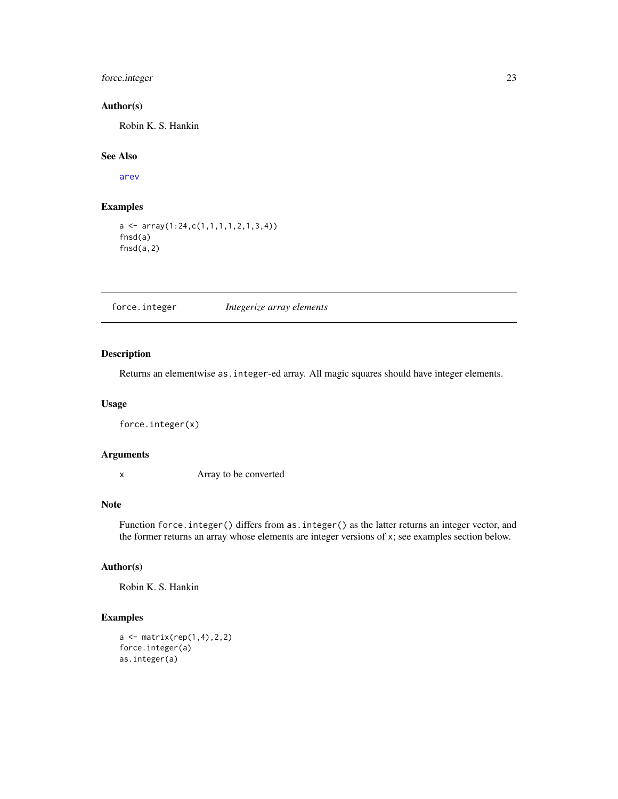# <span id="page-22-0"></span>force.integer 23

# Author(s)

Robin K. S. Hankin

# See Also

[arev](#page-10-1)

# Examples

 $a \leftarrow array(1:24, c(1,1,1,1,2,1,3,4))$ fnsd(a) fnsd(a,2)

<span id="page-22-1"></span>force.integer *Integerize array elements*

#### Description

Returns an elementwise as.integer-ed array. All magic squares should have integer elements.

#### Usage

force.integer(x)

# Arguments

x Array to be converted

#### Note

Function force.integer() differs from as.integer() as the latter returns an integer vector, and the former returns an array whose elements are integer versions of x; see examples section below.

#### Author(s)

Robin K. S. Hankin

```
a \leftarrow matrix(rep(1,4),2,2)force.integer(a)
as.integer(a)
```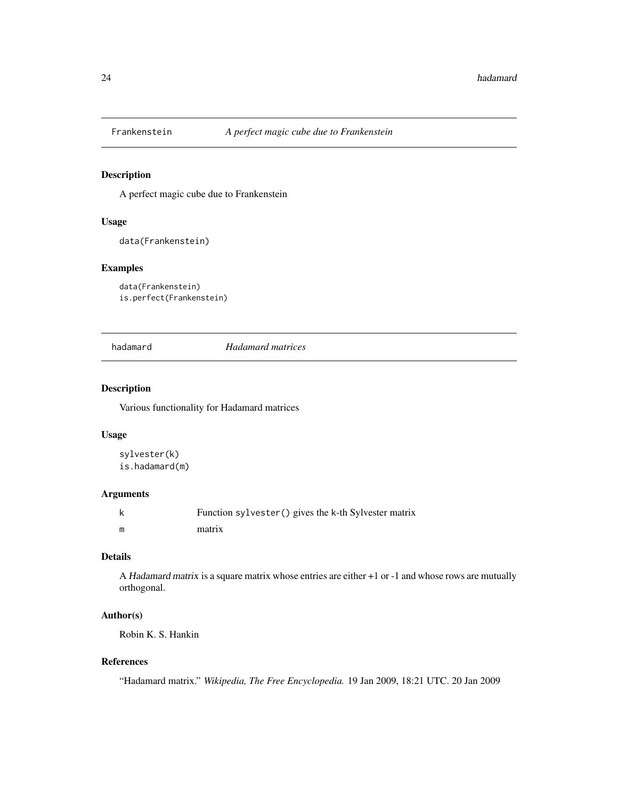<span id="page-23-0"></span>

# Description

A perfect magic cube due to Frankenstein

# Usage

```
data(Frankenstein)
```
#### Examples

```
data(Frankenstein)
is.perfect(Frankenstein)
```
hadamard *Hadamard matrices*

#### Description

Various functionality for Hadamard matrices

#### Usage

```
sylvester(k)
is.hadamard(m)
```
# Arguments

|   | Function sylvester () gives the k-th Sylvester matrix |
|---|-------------------------------------------------------|
| m | matrix                                                |

# Details

A Hadamard matrix is a square matrix whose entries are either +1 or -1 and whose rows are mutually orthogonal.

# Author(s)

Robin K. S. Hankin

# References

"Hadamard matrix." *Wikipedia, The Free Encyclopedia.* 19 Jan 2009, 18:21 UTC. 20 Jan 2009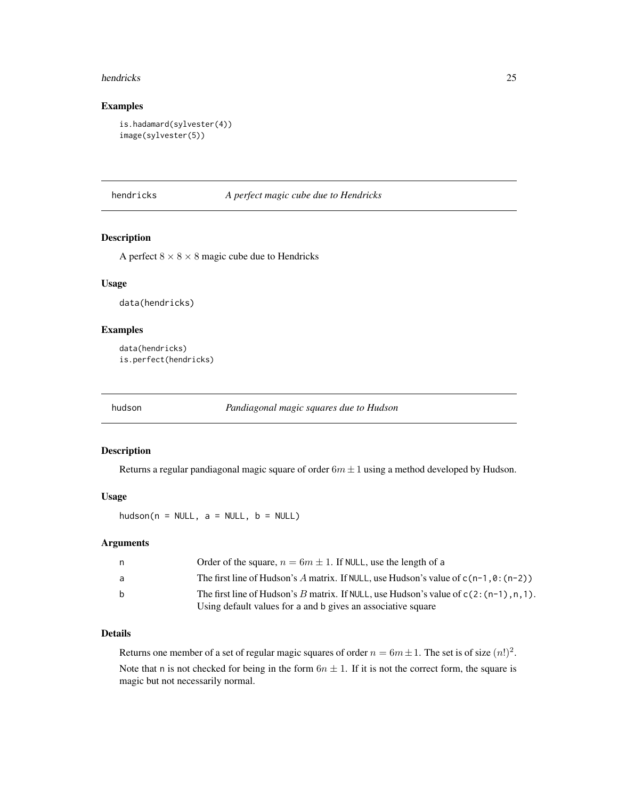#### <span id="page-24-0"></span>hendricks 25

# Examples

```
is.hadamard(sylvester(4))
image(sylvester(5))
```
<span id="page-24-1"></span>hendricks *A perfect magic cube due to Hendricks*

#### Description

A perfect  $8 \times 8 \times 8$  magic cube due to Hendricks

# Usage

data(hendricks)

# Examples

```
data(hendricks)
is.perfect(hendricks)
```
<span id="page-24-2"></span>

hudson *Pandiagonal magic squares due to Hudson*

#### Description

Returns a regular pandiagonal magic square of order  $6m \pm 1$  using a method developed by Hudson.

# Usage

hudson( $n = NULL$ ,  $a = NULL$ ,  $b = NULL$ )

# Arguments

| n            | Order of the square, $n = 6m \pm 1$ . If NULL, use the length of a                       |
|--------------|------------------------------------------------------------------------------------------|
| a            | The first line of Hudson's A matrix. If NULL, use Hudson's value of $c(n-1, 0: (n-2))$   |
| <sub>b</sub> | The first line of Hudson's B matrix. If NULL, use Hudson's value of $c(2:(n-1), n, 1)$ . |
|              | Using default values for a and b gives an associative square                             |

#### Details

Returns one member of a set of regular magic squares of order  $n = 6m \pm 1$ . The set is of size  $(n!)^2$ . Note that n is not checked for being in the form  $6n \pm 1$ . If it is not the correct form, the square is magic but not necessarily normal.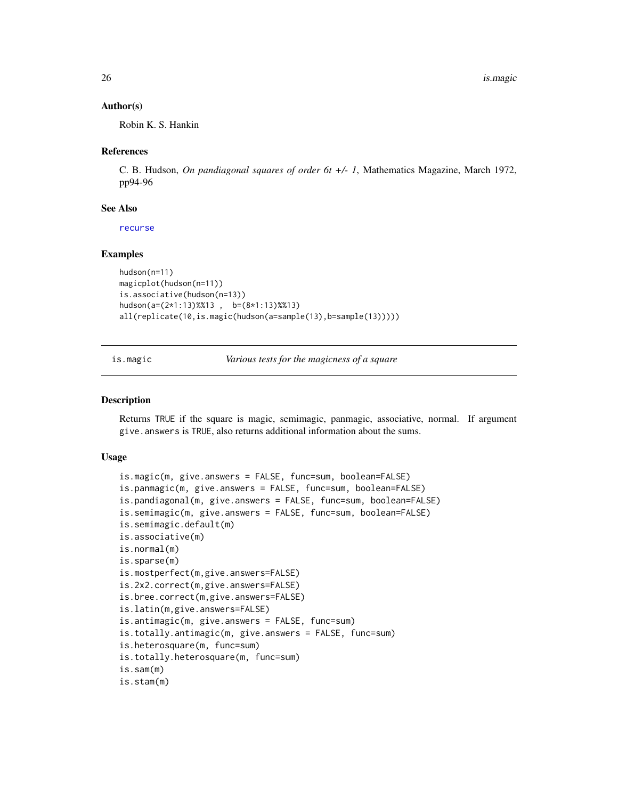#### Author(s)

Robin K. S. Hankin

#### References

C. B. Hudson, *On pandiagonal squares of order 6t +/- 1*, Mathematics Magazine, March 1972, pp94-96

#### See Also

[recurse](#page-53-1)

#### Examples

```
hudson(n=11)
magicplot(hudson(n=11))
is.associative(hudson(n=13))
hudson(a=(2*1:13)%%13 , b=(8*1:13)%%13)
all(replicate(10,is.magic(hudson(a=sample(13),b=sample(13)))))
```
<span id="page-25-1"></span>is.magic *Various tests for the magicness of a square*

# <span id="page-25-2"></span>**Description**

Returns TRUE if the square is magic, semimagic, panmagic, associative, normal. If argument give.answers is TRUE, also returns additional information about the sums.

#### Usage

```
is.magic(m, give.answers = FALSE, func=sum, boolean=FALSE)
is.panmagic(m, give.answers = FALSE, func=sum, boolean=FALSE)
is.pandiagonal(m, give.answers = FALSE, func=sum, boolean=FALSE)
is.semimagic(m, give.answers = FALSE, func=sum, boolean=FALSE)
is.semimagic.default(m)
is.associative(m)
is.normal(m)
is.sparse(m)
is.mostperfect(m,give.answers=FALSE)
is.2x2.correct(m,give.answers=FALSE)
is.bree.correct(m,give.answers=FALSE)
is.latin(m,give.answers=FALSE)
is.antimagic(m, give.answers = FALSE, func=sum)
is.totally.antimagic(m, give.answers = FALSE, func=sum)
is.heterosquare(m, func=sum)
is.totally.heterosquare(m, func=sum)
is.sam(m)
is.stam(m)
```
<span id="page-25-0"></span>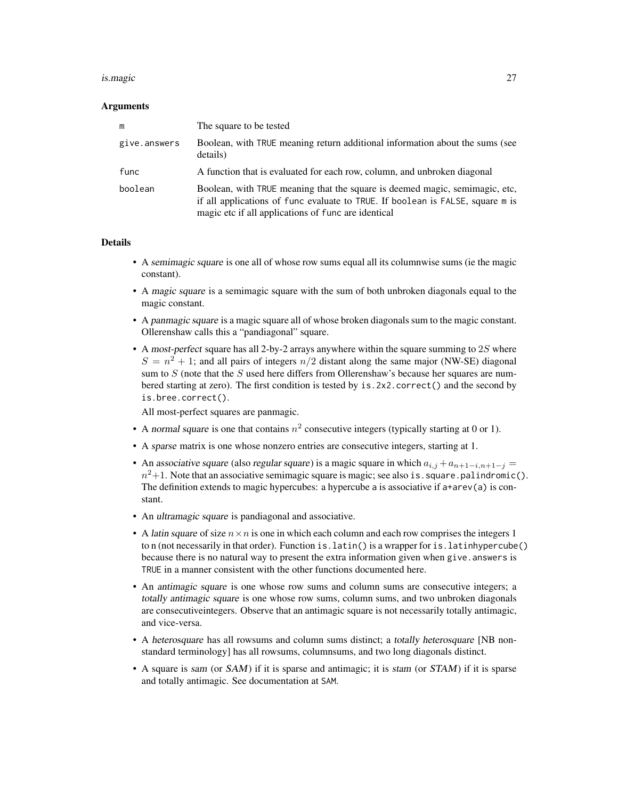#### is.magic 27

#### **Arguments**

| m            | The square to be tested                                                                                                                                                                                              |
|--------------|----------------------------------------------------------------------------------------------------------------------------------------------------------------------------------------------------------------------|
| give.answers | Boolean, with TRUE meaning return additional information about the sums (see<br>details)                                                                                                                             |
| func         | A function that is evaluated for each row, column, and unbroken diagonal                                                                                                                                             |
| boolean      | Boolean, with TRUE meaning that the square is deemed magic, semimagic, etc.<br>if all applications of func evaluate to TRUE. If boolean is FALSE, square m is<br>magic etc if all applications of func are identical |

#### Details

- A semimagic square is one all of whose row sums equal all its columnwise sums (ie the magic constant).
- A magic square is a semimagic square with the sum of both unbroken diagonals equal to the magic constant.
- A panmagic square is a magic square all of whose broken diagonals sum to the magic constant. Ollerenshaw calls this a "pandiagonal" square.
- A most-perfect square has all 2-by-2 arrays anywhere within the square summing to  $2S$  where  $S = n^2 + 1$ ; and all pairs of integers  $n/2$  distant along the same major (NW-SE) diagonal sum to  $S$  (note that the  $S$  used here differs from Ollerenshaw's because her squares are numbered starting at zero). The first condition is tested by is.2x2.correct() and the second by is.bree.correct().

All most-perfect squares are panmagic.

- A normal square is one that contains  $n^2$  consecutive integers (typically starting at 0 or 1).
- A sparse matrix is one whose nonzero entries are consecutive integers, starting at 1.
- An associative square (also regular square) is a magic square in which  $a_{i,j} + a_{n+1-i,n+1-j} =$  $n^2+1$ . Note that an associative semimagic square is magic; see also is . square . palindromic(). The definition extends to magic hypercubes: a hypercube a is associative if  $a+arev(a)$  is constant.
- An ultramagic square is pandiagonal and associative.
- A latin square of size  $n \times n$  is one in which each column and each row comprises the integers 1 to n (not necessarily in that order). Function is.latin() is a wrapper for is.latinhypercube() because there is no natural way to present the extra information given when give. answers is TRUE in a manner consistent with the other functions documented here.
- An antimagic square is one whose row sums and column sums are consecutive integers; a totally antimagic square is one whose row sums, column sums, and two unbroken diagonals are consecutiveintegers. Observe that an antimagic square is not necessarily totally antimagic, and vice-versa.
- A heterosquare has all rowsums and column sums distinct; a totally heterosquare [NB nonstandard terminology] has all rowsums, columnsums, and two long diagonals distinct.
- A square is sam (or SAM) if it is sparse and antimagic; it is stam (or STAM) if it is sparse and totally antimagic. See documentation at SAM.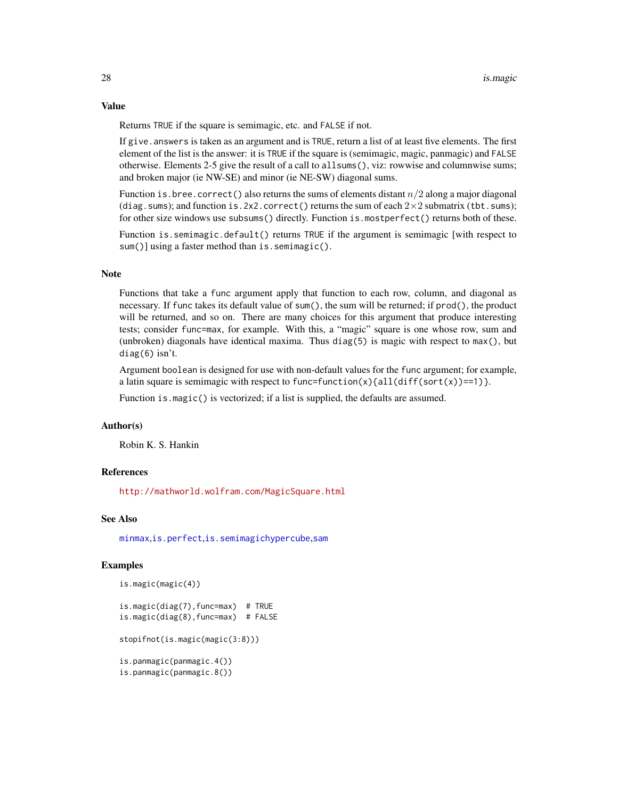<span id="page-27-0"></span>Returns TRUE if the square is semimagic, etc. and FALSE if not.

If give.answers is taken as an argument and is TRUE, return a list of at least five elements. The first element of the list is the answer: it is TRUE if the square is (semimagic, magic, panmagic) and FALSE otherwise. Elements 2-5 give the result of a call to allsums(), viz: rowwise and columnwise sums; and broken major (ie NW-SE) and minor (ie NE-SW) diagonal sums.

Function is. bree. correct() also returns the sums of elements distant  $n/2$  along a major diagonal (diag.sums); and function is.2x2.correct() returns the sum of each  $2\times 2$  submatrix (tbt.sums); for other size windows use subsums() directly. Function is.mostperfect() returns both of these.

Function is.semimagic.default() returns TRUE if the argument is semimagic [with respect to sum()] using a faster method than is. semimagic().

#### Note

Functions that take a func argument apply that function to each row, column, and diagonal as necessary. If func takes its default value of sum(), the sum will be returned; if prod(), the product will be returned, and so on. There are many choices for this argument that produce interesting tests; consider func=max, for example. With this, a "magic" square is one whose row, sum and (unbroken) diagonals have identical maxima. Thus diag(5) is magic with respect to  $max()$ , but diag(6) isn't.

Argument boolean is designed for use with non-default values for the func argument; for example, a latin square is semimagic with respect to func=function(x){all(diff(sort(x))==1)}.

Function is.magic() is vectorized; if a list is supplied, the defaults are assumed.

#### Author(s)

Robin K. S. Hankin

# References

<http://mathworld.wolfram.com/MagicSquare.html>

#### See Also

[minmax](#page-46-1),[is.perfect](#page-28-1),[is.semimagichypercube](#page-28-1),[sam](#page-54-1)

```
is.magic(magic(4))
```

```
is.magic(diag(7),func=max) # TRUE
is.magic(diag(8),func=max) # FALSE
stopifnot(is.magic(magic(3:8)))
is.panmagic(panmagic.4())
is.panmagic(panmagic.8())
```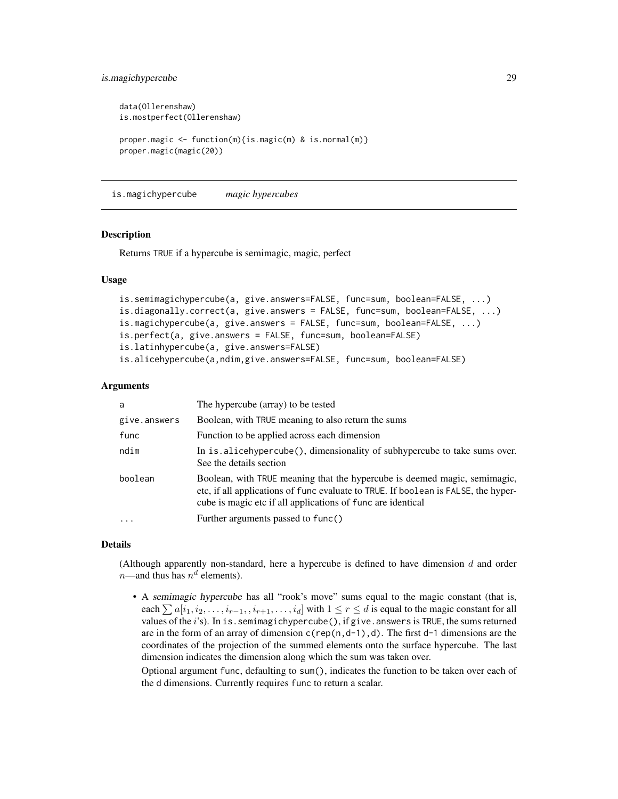<span id="page-28-0"></span>is.magichypercube 29

```
data(Ollerenshaw)
is.mostperfect(Ollerenshaw)
proper.magic <- function(m){is.magic(m) & is.normal(m)}
proper.magic(magic(20))
```
is.magichypercube *magic hypercubes*

#### <span id="page-28-1"></span>**Description**

Returns TRUE if a hypercube is semimagic, magic, perfect

#### Usage

```
is.semimagichypercube(a, give.answers=FALSE, func=sum, boolean=FALSE, ...)
is.diagonally.correct(a, give.answers = FALSE, func=sum, boolean=FALSE, ...)
is.magichypercube(a, give.answers = FALSE, func=sum, boolean=FALSE, ...)
is.perfect(a, give.answers = FALSE, func=sum, boolean=FALSE)
is.latinhypercube(a, give.answers=FALSE)
is.alicehypercube(a,ndim,give.answers=FALSE, func=sum, boolean=FALSE)
```
#### Arguments

| a            | The hypercube (array) to be tested                                                                                                                                                                                             |
|--------------|--------------------------------------------------------------------------------------------------------------------------------------------------------------------------------------------------------------------------------|
| give.answers | Boolean, with TRUE meaning to also return the sums                                                                                                                                                                             |
| func         | Function to be applied across each dimension                                                                                                                                                                                   |
| ndim         | In is alicehypercube(), dimensionality of subhypercube to take sums over.<br>See the details section                                                                                                                           |
| boolean      | Boolean, with TRUE meaning that the hypercube is deemed magic, semimagic,<br>etc, if all applications of func evaluate to TRUE. If boolean is FALSE, the hyper-<br>cube is magic etc if all applications of func are identical |
| .            | Further arguments passed to func()                                                                                                                                                                                             |

#### Details

(Although apparently non-standard, here a hypercube is defined to have dimension  $d$  and order *n*—and thus has  $n^d$  elements).

• A semimagic hypercube has all "rook's move" sums equal to the magic constant (that is, each  $\sum a[i_1, i_2, \ldots, i_{r-1}, i_{r+1}, \ldots, i_d]$  with  $1 \leq r \leq d$  is equal to the magic constant for all values of the i's). In is. semimagichypercube(), if give. answers is TRUE, the sums returned are in the form of an array of dimension  $c$ (rep(n,d-1),d). The first d-1 dimensions are the coordinates of the projection of the summed elements onto the surface hypercube. The last dimension indicates the dimension along which the sum was taken over.

Optional argument func, defaulting to sum(), indicates the function to be taken over each of the d dimensions. Currently requires func to return a scalar.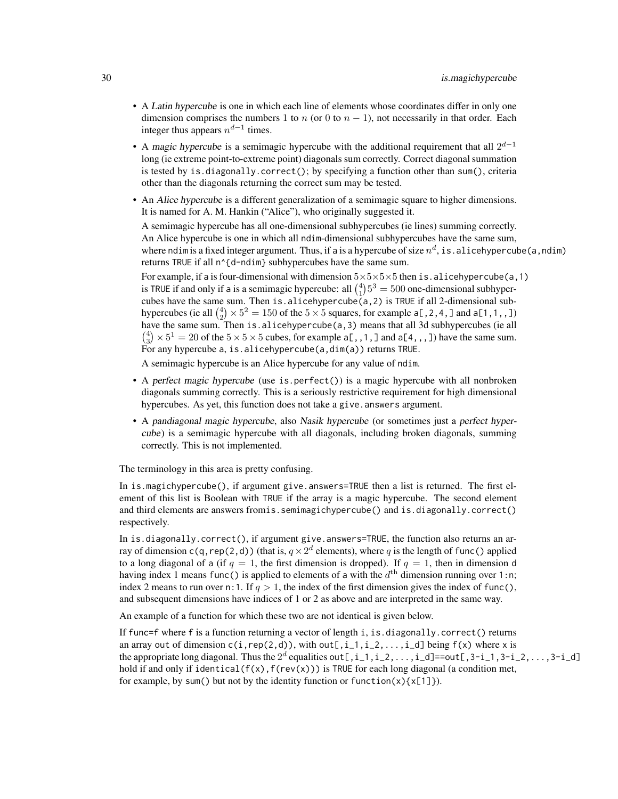- A Latin hypercube is one in which each line of elements whose coordinates differ in only one dimension comprises the numbers 1 to n (or 0 to  $n - 1$ ), not necessarily in that order. Each integer thus appears  $n^{d-1}$  times.
- A magic hypercube is a semimagic hypercube with the additional requirement that all  $2^{d-1}$ long (ie extreme point-to-extreme point) diagonals sum correctly. Correct diagonal summation is tested by is.diagonally.correct(); by specifying a function other than sum(), criteria other than the diagonals returning the correct sum may be tested.
- An Alice hypercube is a different generalization of a semimagic square to higher dimensions. It is named for A. M. Hankin ("Alice"), who originally suggested it.

A semimagic hypercube has all one-dimensional subhypercubes (ie lines) summing correctly. An Alice hypercube is one in which all ndim-dimensional subhypercubes have the same sum, where ndim is a fixed integer argument. Thus, if a is a hypercube of size  $n^d$ , is . alicehypercube (a, ndim) returns TRUE if all n^{d-ndim} subhypercubes have the same sum.

For example, if a is four-dimensional with dimension  $5 \times 5 \times 5 \times 5$  then is. alicehypercube(a, 1) is TRUE if and only if a is a semimagic hypercube: all  $\binom{4}{1}5^3 = 500$  one-dimensional subhypercubes have the same sum. Then is alicehypercube  $(a, 2)$  is TRUE if all 2-dimensional subhypercubes (ie all  $\binom{4}{2} \times 5^2 = 150$  of the  $5 \times 5$  squares, for example a[, 2, 4, ] and a[1, 1, , ]) have the same sum. Then is.alicehypercube(a,3) means that all 3d subhypercubes (ie all  $\binom{4}{3} \times 5^1 = 20$  of the  $5 \times 5 \times 5$  cubes, for example a[,,1,] and a[4,,,]) have the same sum. For any hypercube a, is.alicehypercube(a,dim(a)) returns TRUE.

A semimagic hypercube is an Alice hypercube for any value of ndim.

- A perfect magic hypercube (use is.perfect()) is a magic hypercube with all nonbroken diagonals summing correctly. This is a seriously restrictive requirement for high dimensional hypercubes. As yet, this function does not take a give. answers argument.
- A pandiagonal magic hypercube, also Nasik hypercube (or sometimes just a perfect hypercube) is a semimagic hypercube with all diagonals, including broken diagonals, summing correctly. This is not implemented.

The terminology in this area is pretty confusing.

In is.magichypercube(), if argument give.answers=TRUE then a list is returned. The first element of this list is Boolean with TRUE if the array is a magic hypercube. The second element and third elements are answers fromis.semimagichypercube() and is.diagonally.correct() respectively.

In is.diagonally.correct(), if argument give.answers=TRUE, the function also returns an array of dimension  $c(q, rep(2,d))$  (that is,  $q \times 2^d$  elements), where  $q$  is the length of func() applied to a long diagonal of a (if  $q = 1$ , the first dimension is dropped). If  $q = 1$ , then in dimension d having index 1 means func() is applied to elements of a with the  $d<sup>th</sup>$  dimension running over 1:n; index 2 means to run over n:1. If  $q > 1$ , the index of the first dimension gives the index of func(), and subsequent dimensions have indices of 1 or 2 as above and are interpreted in the same way.

An example of a function for which these two are not identical is given below.

If func=f where f is a function returning a vector of length i, is.diagonally.correct() returns an array out of dimension  $c(i, rep(2,d))$ , with out  $[i, i_1, i_2, \ldots, i_d]$  being  $f(x)$  where x is the appropriate long diagonal. Thus the  $2^d$  equalities out [, i\_1, i\_2, . . . , i\_d]==out [, 3-i\_1, 3-i\_2, . . . , 3-i\_d] hold if and only if identical( $f(x)$ ,  $f(rev(x))$ ) is TRUE for each long diagonal (a condition met, for example, by sum() but not by the identity function or function(x) $\{x[1]\}$ ).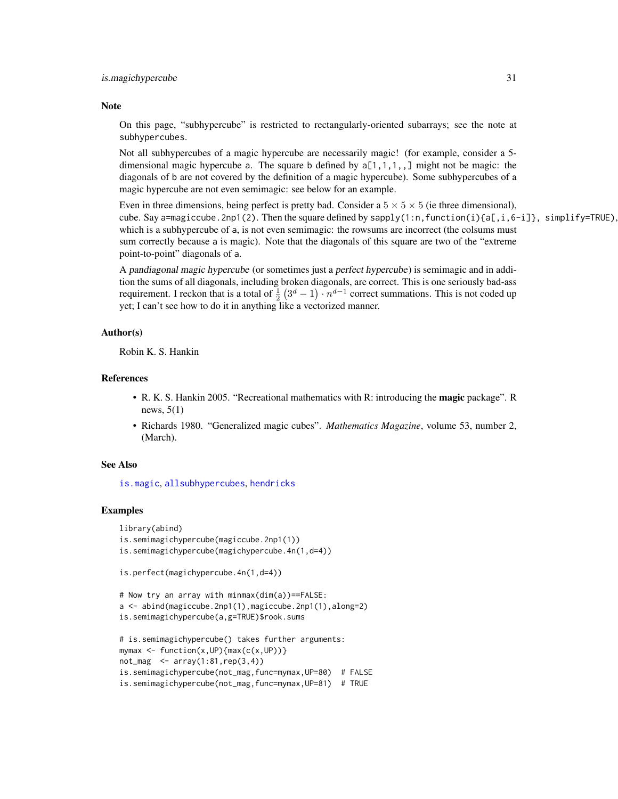#### <span id="page-30-0"></span>is.magichypercube 31

#### **Note**

On this page, "subhypercube" is restricted to rectangularly-oriented subarrays; see the note at subhypercubes.

Not all subhypercubes of a magic hypercube are necessarily magic! (for example, consider a 5 dimensional magic hypercube a. The square b defined by  $a[1,1,1,1]$  might not be magic: the diagonals of b are not covered by the definition of a magic hypercube). Some subhypercubes of a magic hypercube are not even semimagic: see below for an example.

Even in three dimensions, being perfect is pretty bad. Consider a  $5 \times 5 \times 5$  (ie three dimensional), cube. Say a=magiccube.2np1(2). Then the square defined by sapply(1:n,function(i){a[,i,6-i]}, simplify=TRUE), which is a subhypercube of a, is not even semimagic: the rowsums are incorrect (the colsums must sum correctly because a is magic). Note that the diagonals of this square are two of the "extreme point-to-point" diagonals of a.

A pandiagonal magic hypercube (or sometimes just a perfect hypercube) is semimagic and in addition the sums of all diagonals, including broken diagonals, are correct. This is one seriously bad-ass requirement. I reckon that is a total of  $\frac{1}{2}(3^d - 1) \cdot n^{d-1}$  correct summations. This is not coded up yet; I can't see how to do it in anything like a vectorized manner.

#### Author(s)

Robin K. S. Hankin

#### References

- R. K. S. Hankin 2005. "Recreational mathematics with R: introducing the magic package". R news,  $5(1)$
- Richards 1980. "Generalized magic cubes". *Mathematics Magazine*, volume 53, number 2, (March).

#### See Also

[is.magic](#page-25-1), [allsubhypercubes](#page-4-1), [hendricks](#page-24-1)

```
library(abind)
is.semimagichypercube(magiccube.2np1(1))
is.semimagichypercube(magichypercube.4n(1,d=4))
```

```
is.perfect(magichypercube.4n(1,d=4))
```

```
# Now try an array with minmax(dim(a))==FALSE:
a <- abind(magiccube.2np1(1),magiccube.2np1(1),along=2)
is.semimagichypercube(a,g=TRUE)$rook.sums
```

```
# is.semimagichypercube() takes further arguments:
mymax \leq function(x, UP){max(c(x, UP))}
not_mag \leq -array(1:81, rep(3,4))is.semimagichypercube(not_mag,func=mymax,UP=80) # FALSE
is.semimagichypercube(not_mag,func=mymax,UP=81) # TRUE
```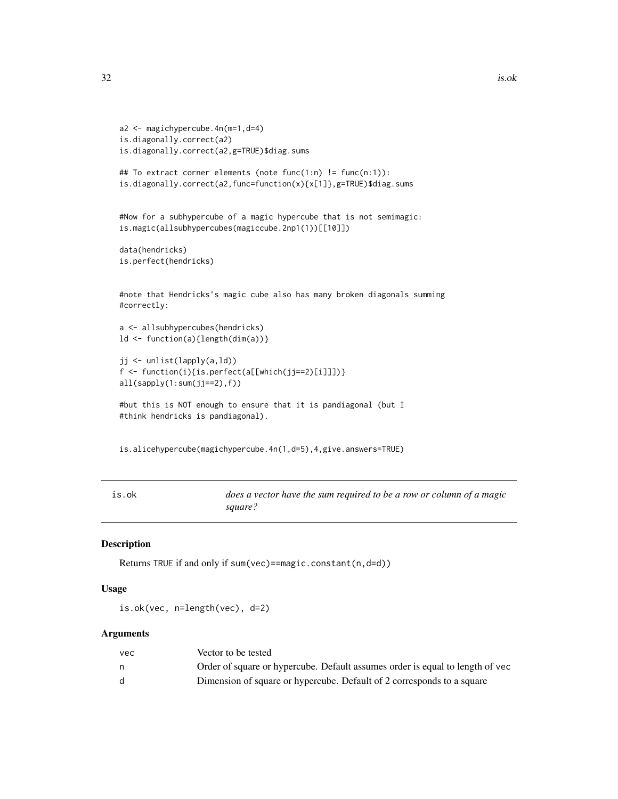```
a2 <- magichypercube.4n(m=1,d=4)
is.diagonally.correct(a2)
is.diagonally.correct(a2,g=TRUE)$diag.sums
## To extract corner elements (note func(1:n) != func(n:1)):
is.diagonally.correct(a2,func=function(x){x[1]},g=TRUE)$diag.sums
#Now for a subhypercube of a magic hypercube that is not semimagic:
is.magic(allsubhypercubes(magiccube.2np1(1))[[10]])
data(hendricks)
is.perfect(hendricks)
#note that Hendricks's magic cube also has many broken diagonals summing
#correctly:
a <- allsubhypercubes(hendricks)
ld <- function(a){length(dim(a))}
jj <- unlist(lapply(a,ld))
f <- function(i){is.perfect(a[[which(jj==2)[i]]])}
all(sapply(1:sum(jj==2),f))
#but this is NOT enough to ensure that it is pandiagonal (but I
#think hendricks is pandiagonal).
```
is.alicehypercube(magichypercube.4n(1,d=5),4,give.answers=TRUE)

is.ok *does a vector have the sum required to be a row or column of a magic square?*

# Description

Returns TRUE if and only if sum(vec)==magic.constant(n,d=d))

#### Usage

is.ok(vec, n=length(vec), d=2)

#### Arguments

| vec | Vector to be tested                                                           |
|-----|-------------------------------------------------------------------------------|
|     | Order of square or hypercube. Default assumes order is equal to length of vec |
|     | Dimension of square or hypercube. Default of 2 corresponds to a square        |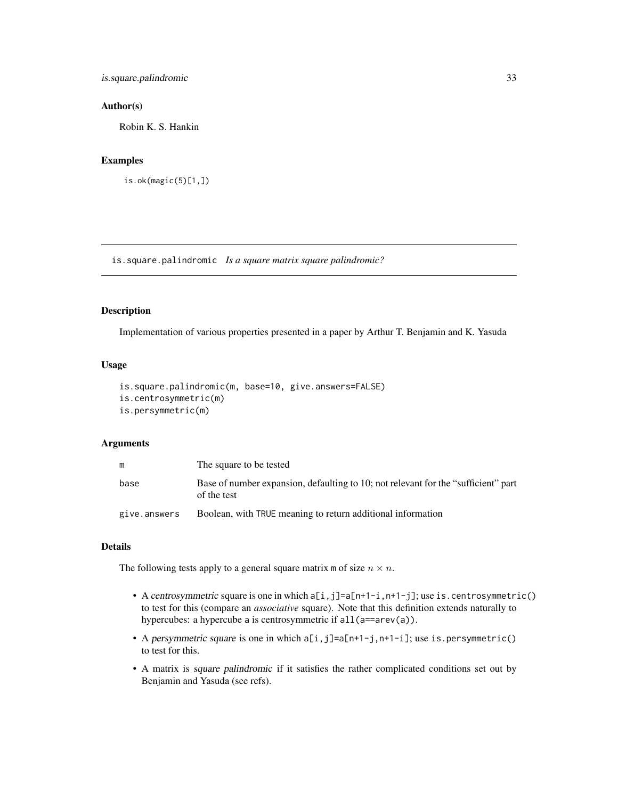# <span id="page-32-0"></span>is.square.palindromic 33

#### Author(s)

Robin K. S. Hankin

# Examples

```
is.ok(magic(5)[1,])
```
is.square.palindromic *Is a square matrix square palindromic?*

# Description

Implementation of various properties presented in a paper by Arthur T. Benjamin and K. Yasuda

# Usage

```
is.square.palindromic(m, base=10, give.answers=FALSE)
is.centrosymmetric(m)
is.persymmetric(m)
```
# Arguments

| m            | The square to be tested                                                                           |
|--------------|---------------------------------------------------------------------------------------------------|
| base         | Base of number expansion, defaulting to 10; not relevant for the "sufficient" part<br>of the test |
| give.answers | Boolean, with TRUE meaning to return additional information                                       |

#### Details

The following tests apply to a general square matrix m of size  $n \times n$ .

- A centrosymmetric square is one in which  $a[i,j]=a[n+1-i,n+1-j]$ ; use is.centrosymmetric() to test for this (compare an *associative* square). Note that this definition extends naturally to hypercubes: a hypercube a is centrosymmetric if all(a==arev(a)).
- A persymmetric square is one in which  $a[i,j]=a[n+1-j,n+1-i]$ ; use is.persymmetric() to test for this.
- A matrix is square palindromic if it satisfies the rather complicated conditions set out by Benjamin and Yasuda (see refs).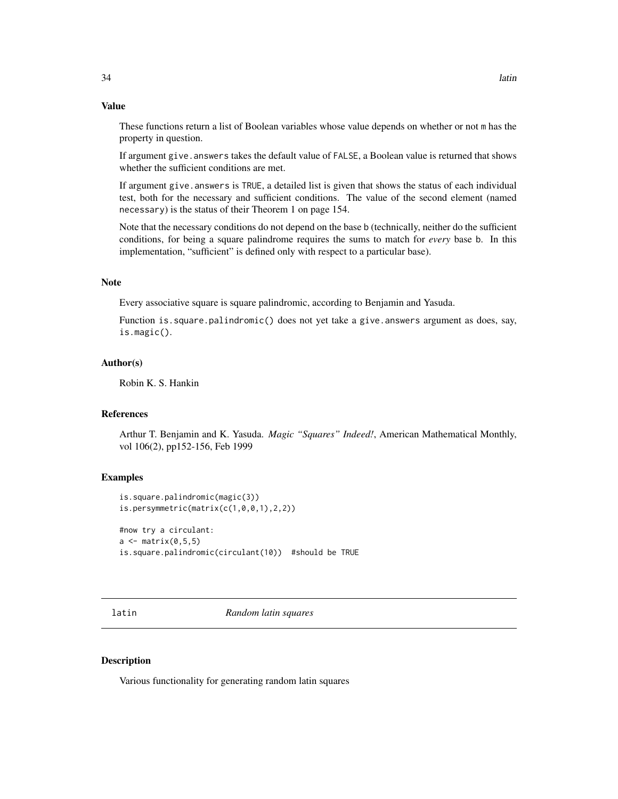## Value

These functions return a list of Boolean variables whose value depends on whether or not m has the property in question.

If argument give. answers takes the default value of FALSE, a Boolean value is returned that shows whether the sufficient conditions are met.

If argument give. answers is TRUE, a detailed list is given that shows the status of each individual test, both for the necessary and sufficient conditions. The value of the second element (named necessary) is the status of their Theorem 1 on page 154.

Note that the necessary conditions do not depend on the base b (technically, neither do the sufficient conditions, for being a square palindrome requires the sums to match for *every* base b. In this implementation, "sufficient" is defined only with respect to a particular base).

#### **Note**

Every associative square is square palindromic, according to Benjamin and Yasuda.

Function is.square.palindromic() does not yet take a give.answers argument as does, say, is.magic().

#### Author(s)

Robin K. S. Hankin

#### References

Arthur T. Benjamin and K. Yasuda. *Magic "Squares" Indeed!*, American Mathematical Monthly, vol 106(2), pp152-156, Feb 1999

#### Examples

```
is.square.palindromic(magic(3))
is.persymmetric(matrix(c(1,0,0,1), 2, 2))
#now try a circulant:
a \leftarrow matrix(0, 5, 5)is.square.palindromic(circulant(10)) #should be TRUE
```
latin *Random latin squares*

#### Description

Various functionality for generating random latin squares

<span id="page-33-0"></span>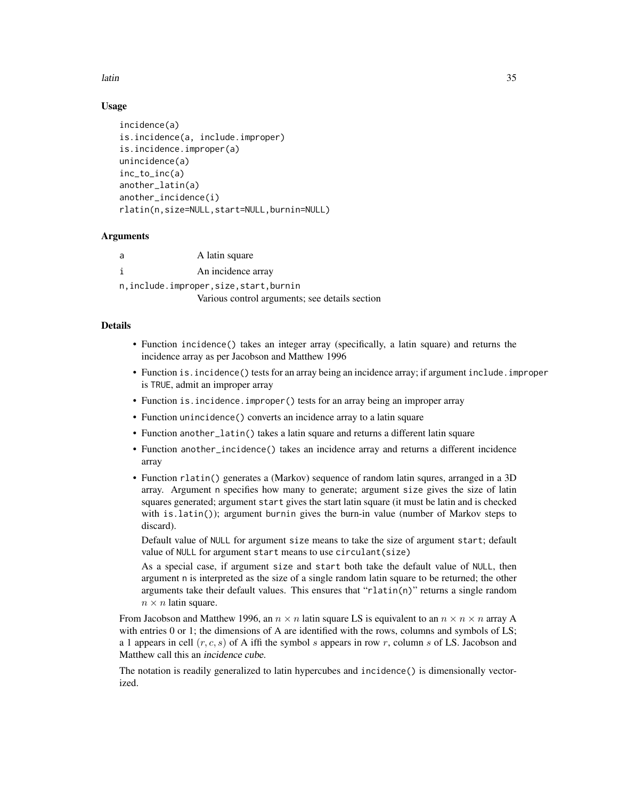latin 35

# Usage

```
incidence(a)
is.incidence(a, include.improper)
is.incidence.improper(a)
unincidence(a)
inc_to_inc(a)
another_latin(a)
another_incidence(i)
rlatin(n,size=NULL,start=NULL,burnin=NULL)
```
# Arguments

a A latin square i An incidence array n,include.improper,size,start,burnin Various control arguments; see details section

#### Details

- Function incidence() takes an integer array (specifically, a latin square) and returns the incidence array as per Jacobson and Matthew 1996
- Function is.incidence() tests for an array being an incidence array; if argument include.improper is TRUE, admit an improper array
- Function is. incidence. improper() tests for an array being an improper array
- Function unincidence () converts an incidence array to a latin square
- Function another\_latin() takes a latin square and returns a different latin square
- Function another\_incidence() takes an incidence array and returns a different incidence array
- Function rlatin() generates a (Markov) sequence of random latin squres, arranged in a 3D array. Argument n specifies how many to generate; argument size gives the size of latin squares generated; argument start gives the start latin square (it must be latin and is checked with is.latin()); argument burnin gives the burn-in value (number of Markov steps to discard).

Default value of NULL for argument size means to take the size of argument start; default value of NULL for argument start means to use circulant(size)

As a special case, if argument size and start both take the default value of NULL, then argument n is interpreted as the size of a single random latin square to be returned; the other arguments take their default values. This ensures that "rlatin(n)" returns a single random  $n \times n$  latin square.

From Jacobson and Matthew 1996, an  $n \times n$  latin square LS is equivalent to an  $n \times n \times n$  array A with entries 0 or 1; the dimensions of A are identified with the rows, columns and symbols of LS; a 1 appears in cell  $(r, c, s)$  of A iffi the symbol s appears in row r, column s of LS. Jacobson and Matthew call this an incidence cube.

The notation is readily generalized to latin hypercubes and incidence() is dimensionally vectorized.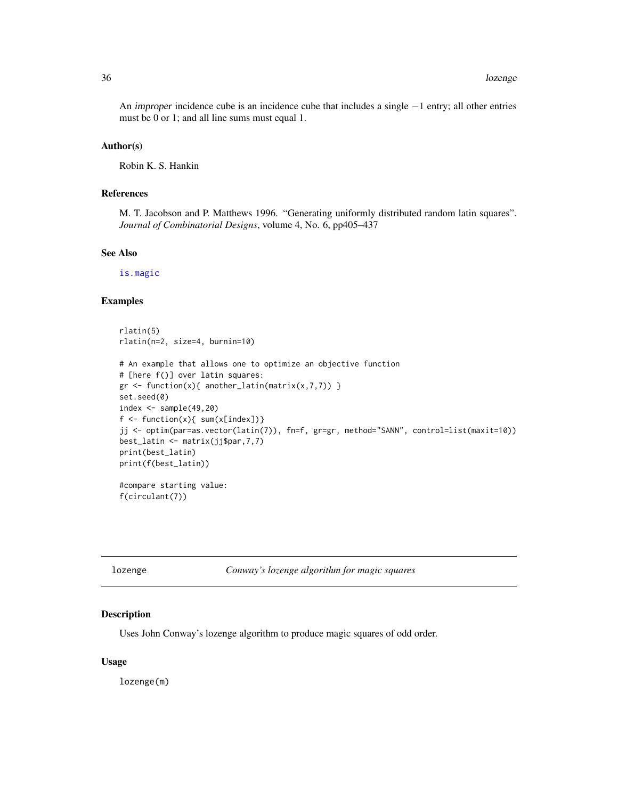<span id="page-35-0"></span>An *improper* incidence cube is an incidence cube that includes a single  $-1$  entry; all other entries must be 0 or 1; and all line sums must equal 1.

#### Author(s)

Robin K. S. Hankin

# References

M. T. Jacobson and P. Matthews 1996. "Generating uniformly distributed random latin squares". *Journal of Combinatorial Designs*, volume 4, No. 6, pp405–437

#### See Also

[is.magic](#page-25-1)

#### Examples

```
rlatin(5)
rlatin(n=2, size=4, burnin=10)
# An example that allows one to optimize an objective function
# [here f()] over latin squares:
gr \leftarrow function(x) \{ another\_latin(matrix(x, 7, 7)) \}set.seed(0)
index \le sample(49,20)
f \leftarrow function(x) {\text{ sum}(x[index]) }jj <- optim(par=as.vector(latin(7)), fn=f, gr=gr, method="SANN", control=list(maxit=10))
best_latin <- matrix(jj$par,7,7)
print(best_latin)
print(f(best_latin))
#compare starting value:
```
f(circulant(7))

<span id="page-35-1"></span>lozenge *Conway's lozenge algorithm for magic squares*

#### Description

Uses John Conway's lozenge algorithm to produce magic squares of odd order.

#### Usage

lozenge(m)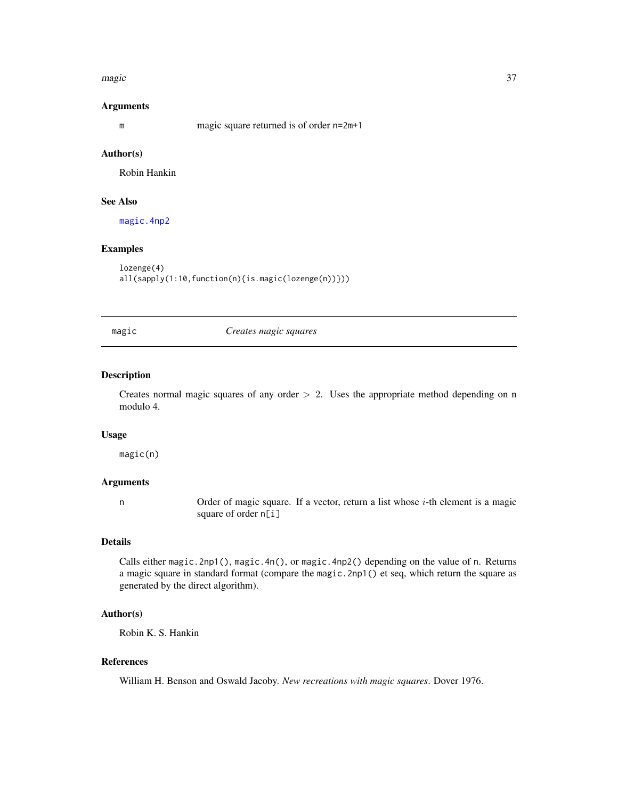#### <span id="page-36-0"></span>magic 37 and 37 and 37 and 37 and 37 and 37 and 37 and 37 and 37 and 37 and 37 and 37 and 37 and 37 and 37 and 37

#### Arguments

m magic square returned is of order n=2m+1

#### Author(s)

Robin Hankin

# See Also

[magic.4np2](#page-39-1)

# Examples

```
lozenge(4)
all(sapply(1:10,function(n){is.magic(lozenge(n))}))
```
<span id="page-36-1"></span>magic *Creates magic squares*

#### Description

Creates normal magic squares of any order  $> 2$ . Uses the appropriate method depending on n modulo 4.

#### Usage

magic(n)

# Arguments

n Order of magic square. If a vector, return a list whose i-th element is a magic square of order n[i]

# Details

Calls either magic.2np1(), magic.4n(), or magic.4np2() depending on the value of n. Returns a magic square in standard format (compare the magic.2np1() et seq, which return the square as generated by the direct algorithm).

# Author(s)

Robin K. S. Hankin

#### References

William H. Benson and Oswald Jacoby. *New recreations with magic squares*. Dover 1976.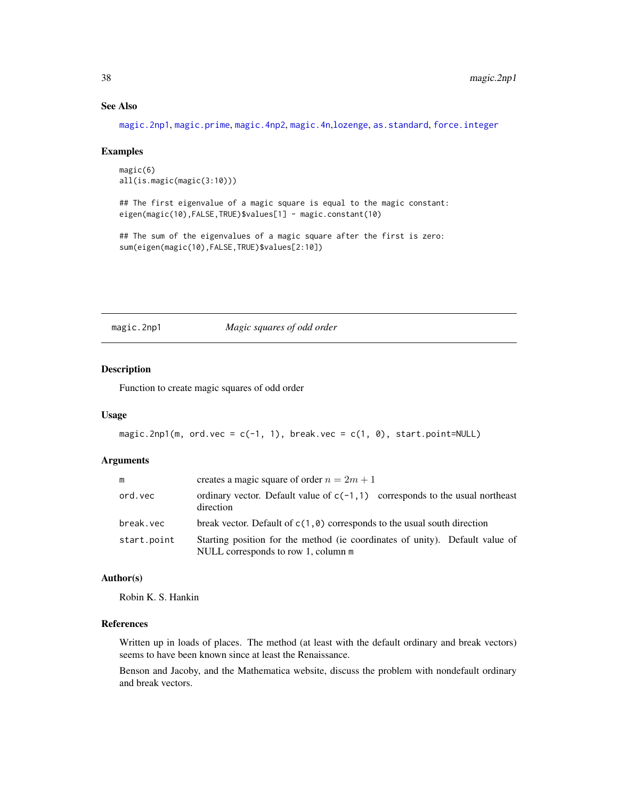# See Also

[magic.2np1](#page-37-1), [magic.prime](#page-41-1), [magic.4np2](#page-39-1), [magic.4n](#page-38-1),[lozenge](#page-35-1), [as.standard](#page-13-1), [force.integer](#page-22-1)

#### Examples

```
magic(6)
all(is.magic(magic(3:10)))
```
## The first eigenvalue of a magic square is equal to the magic constant: eigen(magic(10),FALSE,TRUE)\$values[1] - magic.constant(10)

## The sum of the eigenvalues of a magic square after the first is zero: sum(eigen(magic(10),FALSE,TRUE)\$values[2:10])

#### <span id="page-37-1"></span>magic.2np1 *Magic squares of odd order*

#### Description

Function to create magic squares of odd order

# Usage

```
magic.2np1(m, ord.vec = c(-1, 1), break.vec = c(1, 0), start.point=NULL)
```
# Arguments

| m           | creates a magic square of order $n = 2m + 1$                                                                        |
|-------------|---------------------------------------------------------------------------------------------------------------------|
| ord.vec     | ordinary vector. Default value of $c(-1, 1)$ corresponds to the usual northeast<br>direction                        |
| break.vec   | break vector. Default of $c(1, 0)$ corresponds to the usual south direction                                         |
| start.point | Starting position for the method (ie coordinates of unity). Default value of<br>NULL corresponds to row 1, column m |

# Author(s)

Robin K. S. Hankin

# References

Written up in loads of places. The method (at least with the default ordinary and break vectors) seems to have been known since at least the Renaissance.

Benson and Jacoby, and the Mathematica website, discuss the problem with nondefault ordinary and break vectors.

<span id="page-37-0"></span>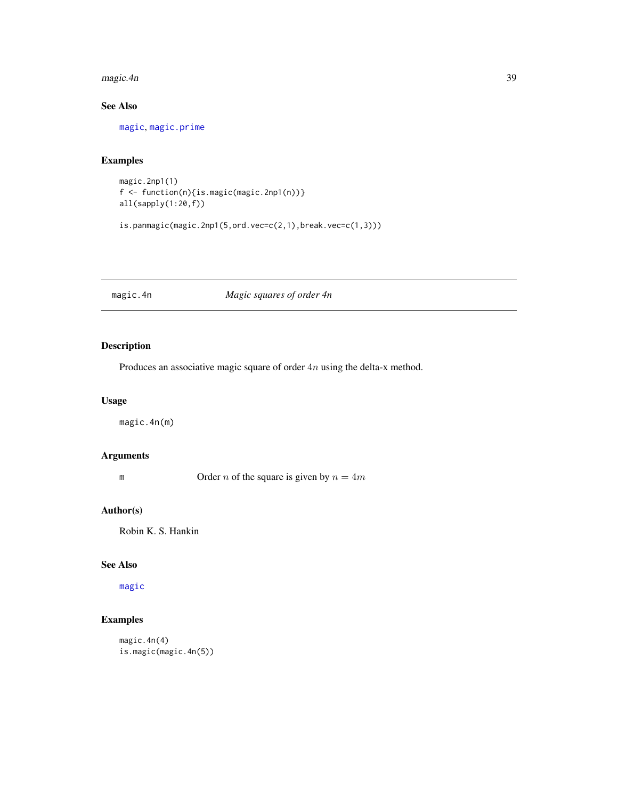#### <span id="page-38-0"></span>magic.4n 39

# See Also

[magic](#page-36-1), [magic.prime](#page-41-1)

# Examples

```
magic.2np1(1)
f <- function(n){is.magic(magic.2np1(n))}
all(sapply(1:20,f))
```
is.panmagic(magic.2np1(5,ord.vec=c(2,1),break.vec=c(1,3)))

# <span id="page-38-1"></span>magic.4n *Magic squares of order 4n*

# Description

Produces an associative magic square of order 4n using the delta-x method.

#### Usage

magic.4n(m)

# Arguments

m Order *n* of the square is given by  $n = 4m$ 

# Author(s)

Robin K. S. Hankin

# See Also

[magic](#page-36-1)

```
magic.4n(4)
is.magic(magic.4n(5))
```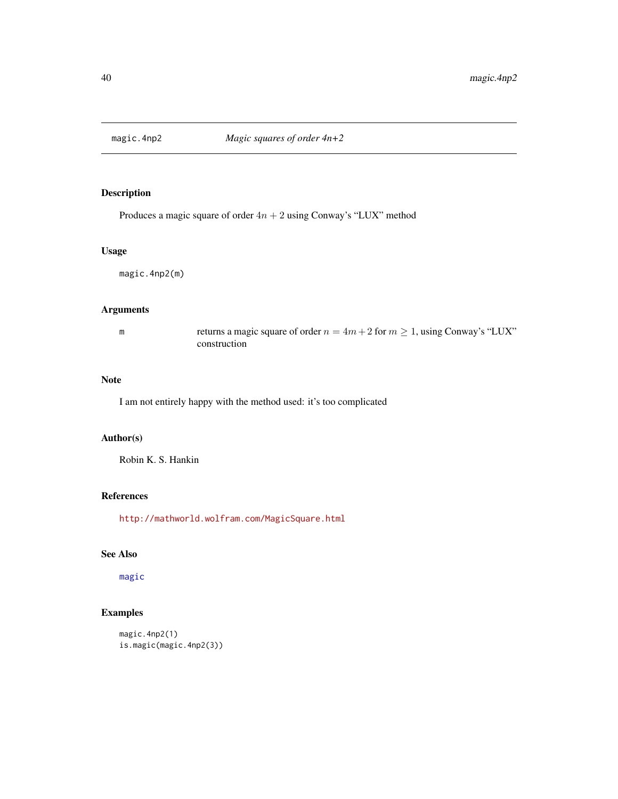<span id="page-39-1"></span><span id="page-39-0"></span>

# Description

Produces a magic square of order  $4n + 2$  using Conway's "LUX" method

#### Usage

magic.4np2(m)

# Arguments

m returns a magic square of order  $n = 4m + 2$  for  $m \ge 1$ , using Conway's "LUX" construction

# Note

I am not entirely happy with the method used: it's too complicated

# Author(s)

Robin K. S. Hankin

# References

<http://mathworld.wolfram.com/MagicSquare.html>

# See Also

[magic](#page-36-1)

```
magic.4np2(1)
is.magic(magic.4np2(3))
```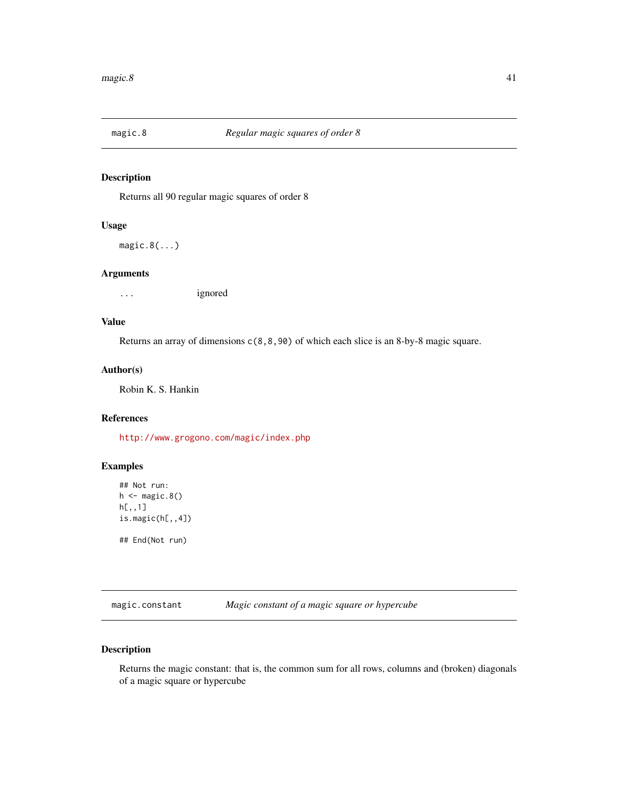<span id="page-40-0"></span>

# Description

Returns all 90 regular magic squares of order 8

# Usage

 $magic.8(...)$ 

# Arguments

... ignored

# Value

Returns an array of dimensions c(8,8,90) of which each slice is an 8-by-8 magic square.

#### Author(s)

Robin K. S. Hankin

# References

<http://www.grogono.com/magic/index.php>

# Examples

```
## Not run:
h \leftarrow \text{magic.8}()h[,,1]
is.magic(h[,,4])
## End(Not run)
```
magic.constant *Magic constant of a magic square or hypercube*

#### Description

Returns the magic constant: that is, the common sum for all rows, columns and (broken) diagonals of a magic square or hypercube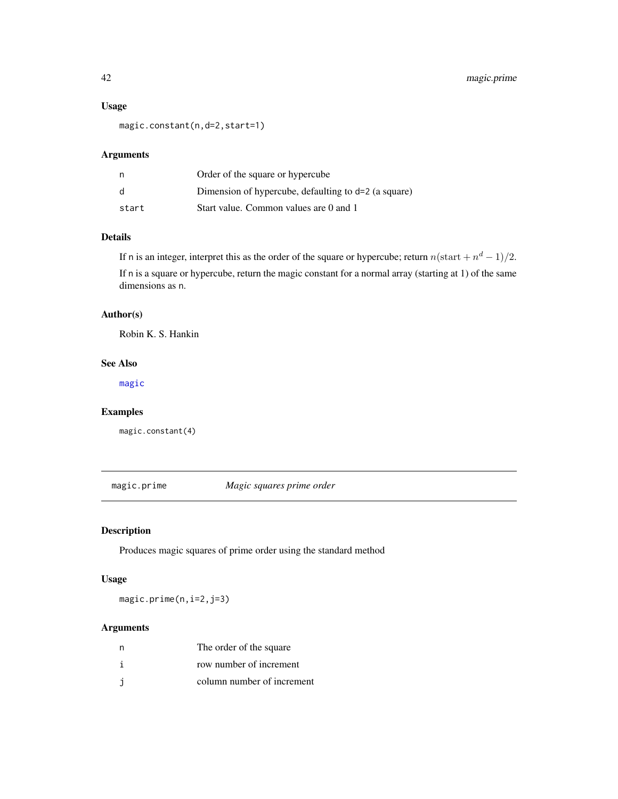# Usage

magic.constant(n,d=2,start=1)

# Arguments

| n     | Order of the square or hypercube                     |
|-------|------------------------------------------------------|
| d     | Dimension of hypercube, defaulting to d=2 (a square) |
| start | Start value. Common values are 0 and 1               |

# Details

If n is an integer, interpret this as the order of the square or hypercube; return  $n(\text{start} + n^d - 1)/2$ .

If n is a square or hypercube, return the magic constant for a normal array (starting at 1) of the same dimensions as n.

# Author(s)

Robin K. S. Hankin

# See Also

[magic](#page-36-1)

# Examples

magic.constant(4)

<span id="page-41-1"></span>magic.prime *Magic squares prime order*

# Description

Produces magic squares of prime order using the standard method

# Usage

magic.prime(n,i=2,j=3)

# Arguments

| n  | The order of the square    |
|----|----------------------------|
|    | row number of increment    |
| -i | column number of increment |

<span id="page-41-0"></span>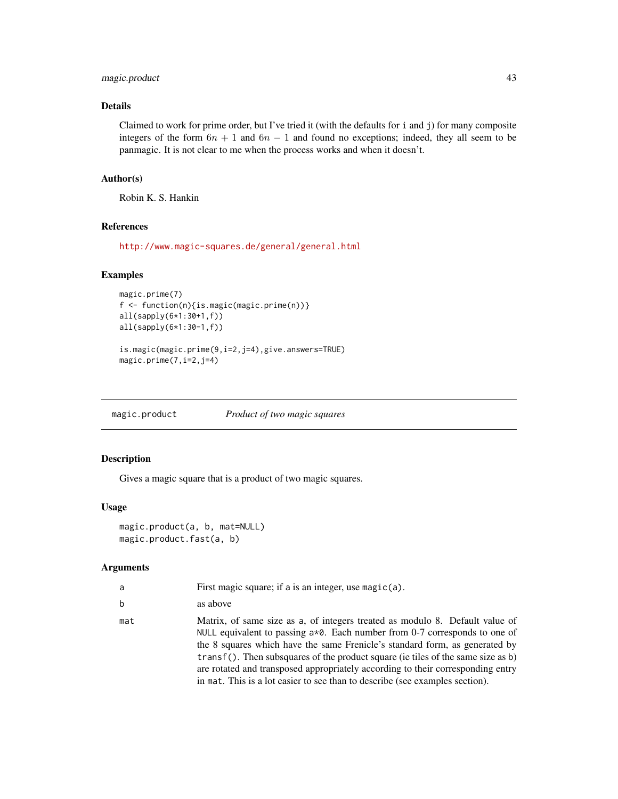# <span id="page-42-0"></span>magic.product 43

# Details

Claimed to work for prime order, but I've tried it (with the defaults for i and j) for many composite integers of the form  $6n + 1$  and  $6n - 1$  and found no exceptions; indeed, they all seem to be panmagic. It is not clear to me when the process works and when it doesn't.

# Author(s)

Robin K. S. Hankin

# References

<http://www.magic-squares.de/general/general.html>

# Examples

```
magic.prime(7)
f <- function(n){is.magic(magic.prime(n))}
all(sapply(6*1:30+1,f))
all(sapply(6*1:30-1,f))
```

```
is.magic(magic.prime(9,i=2,j=4),give.answers=TRUE)
magic.prime(7,i=2,j=4)
```
magic.product *Product of two magic squares*

# Description

Gives a magic square that is a product of two magic squares.

#### Usage

```
magic.product(a, b, mat=NULL)
magic.product.fast(a, b)
```
#### Arguments

| a   | First magic square; if a is an integer, use magic $(a)$ .                                                                                                                                                                                                                                                                                                                                                                                                                                           |
|-----|-----------------------------------------------------------------------------------------------------------------------------------------------------------------------------------------------------------------------------------------------------------------------------------------------------------------------------------------------------------------------------------------------------------------------------------------------------------------------------------------------------|
| b   | as above                                                                                                                                                                                                                                                                                                                                                                                                                                                                                            |
| mat | Matrix, of same size as a, of integers treated as modulo 8. Default value of<br>NULL equivalent to passing $a*0$ . Each number from 0-7 corresponds to one of<br>the 8 squares which have the same Frenicle's standard form, as generated by<br>transf(). Then subsquares of the product square (ie tiles of the same size as b)<br>are rotated and transposed appropriately according to their corresponding entry<br>in mat. This is a lot easier to see than to describe (see examples section). |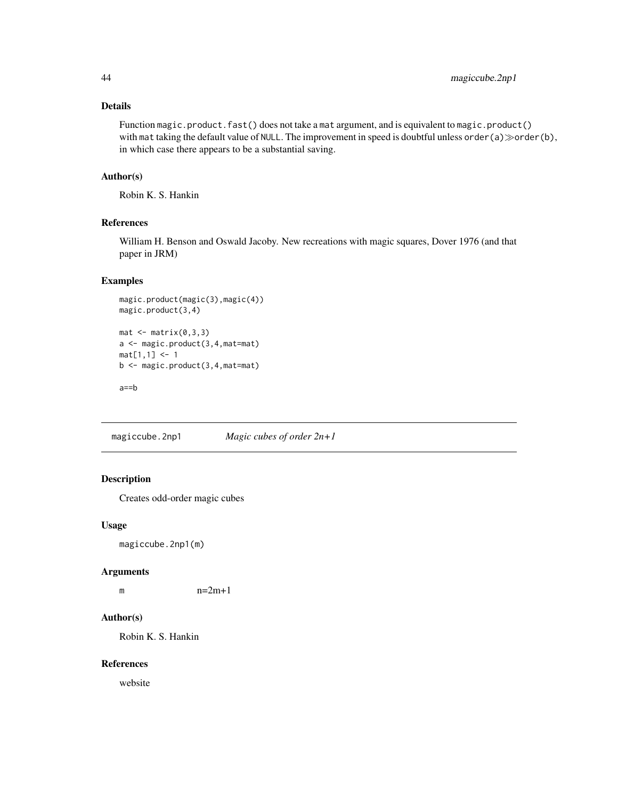# <span id="page-43-0"></span>Details

Function magic.product.fast() does not take a mat argument, and is equivalent to magic.product() with mat taking the default value of NULL. The improvement in speed is doubtful unless order(a) $\gg$ order(b), in which case there appears to be a substantial saving.

# Author(s)

Robin K. S. Hankin

# References

William H. Benson and Oswald Jacoby. New recreations with magic squares, Dover 1976 (and that paper in JRM)

#### Examples

```
magic.product(magic(3),magic(4))
magic.product(3,4)
mat < -matrix(0,3,3)a <- magic.product(3,4,mat=mat)
mat[1,1] < -1b <- magic.product(3,4,mat=mat)
```
a==b

magiccube.2np1 *Magic cubes of order 2n+1*

# Description

Creates odd-order magic cubes

#### Usage

magiccube.2np1(m)

#### Arguments

m  $n=2m+1$ 

#### Author(s)

Robin K. S. Hankin

#### References

website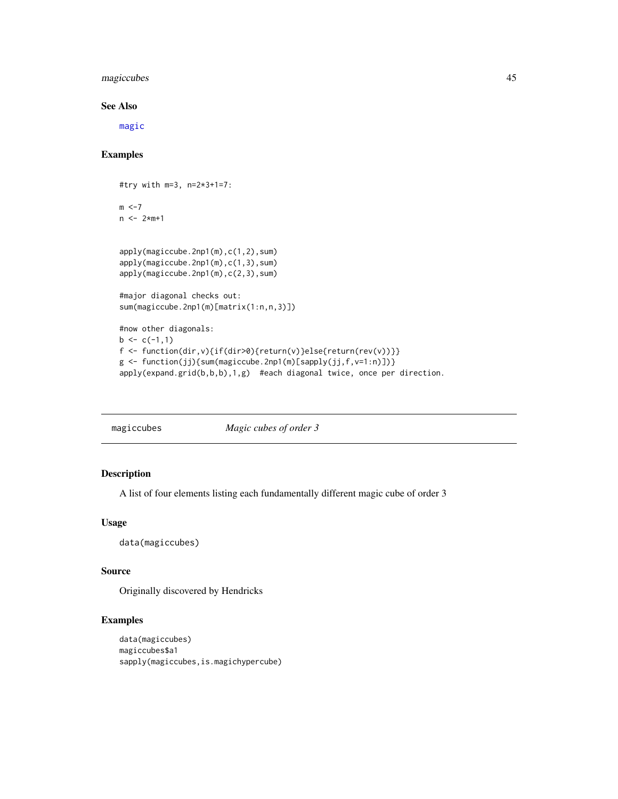# <span id="page-44-0"></span>magiccubes 45

#### See Also

[magic](#page-36-1)

# Examples

```
#try with m=3, n=2*3+1=7:
m < -7n < - 2*m + 1apply(magiccube.2np1(m),c(1,2),sum)
apply(magiccube.2np1(m),c(1,3),sum)
apply(magiccube.2np1(m),c(2,3),sum)
#major diagonal checks out:
sum(magiccube.2np1(m)[matrix(1:n,n,3)])
#now other diagonals:
b \leq c(-1,1)f <- function(dir,v){if(dir>0){return(v)}else{return(rev(v))}}
g <- function(jj){sum(magiccube.2np1(m)[sapply(jj,f,v=1:n)])}
apply(expand.grid(b,b,b),1,g) #each diagonal twice, once per direction.
```
magiccubes *Magic cubes of order 3*

# Description

A list of four elements listing each fundamentally different magic cube of order 3

# Usage

data(magiccubes)

# Source

Originally discovered by Hendricks

```
data(magiccubes)
magiccubes$a1
sapply(magiccubes,is.magichypercube)
```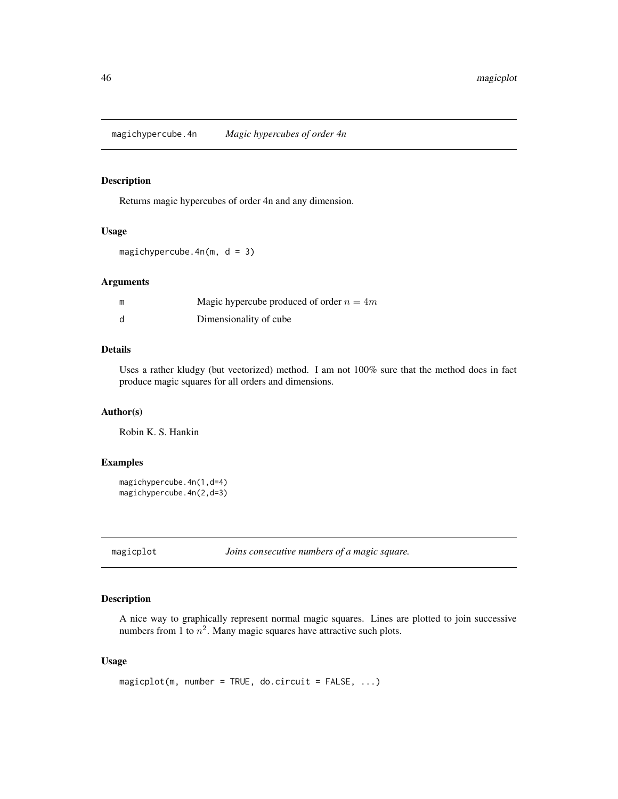<span id="page-45-0"></span>magichypercube.4n *Magic hypercubes of order 4n*

#### Description

Returns magic hypercubes of order 4n and any dimension.

#### Usage

magichypercube.4n(m,  $d = 3$ )

# Arguments

| m | Magic hypercube produced of order $n = 4m$ |
|---|--------------------------------------------|
|   | Dimensionality of cube.                    |

# Details

Uses a rather kludgy (but vectorized) method. I am not 100% sure that the method does in fact produce magic squares for all orders and dimensions.

# Author(s)

Robin K. S. Hankin

# Examples

```
magichypercube.4n(1,d=4)
magichypercube.4n(2,d=3)
```
magicplot *Joins consecutive numbers of a magic square.*

# Description

A nice way to graphically represent normal magic squares. Lines are plotted to join successive numbers from 1 to  $n^2$ . Many magic squares have attractive such plots.

# Usage

```
magicplot(m, number = TRUE, do.circuit = FALSE, ...)
```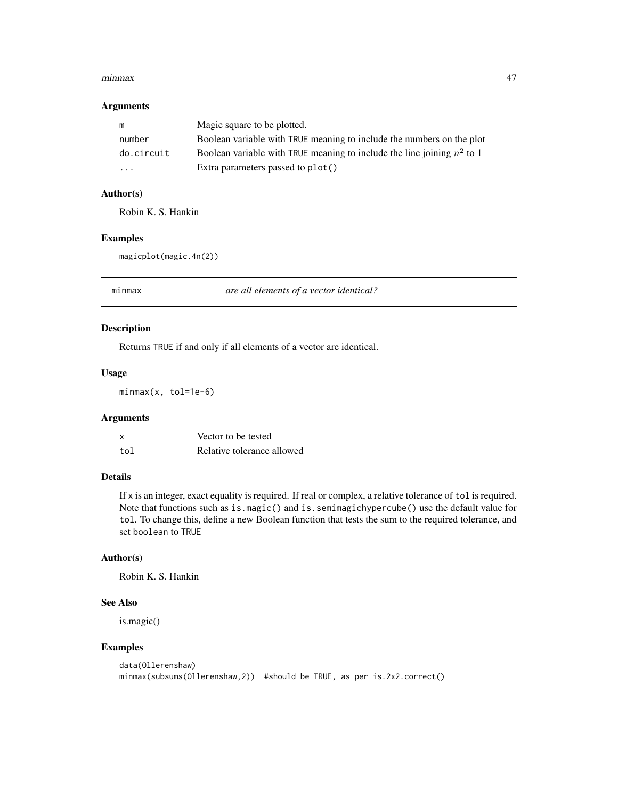#### <span id="page-46-0"></span>minmax and the contract of the contract of the contract of the contract of the contract of the contract of the contract of the contract of the contract of the contract of the contract of the contract of the contract of the

## Arguments

| m                       | Magic square to be plotted.                                               |
|-------------------------|---------------------------------------------------------------------------|
| number                  | Boolean variable with TRUE meaning to include the numbers on the plot     |
| do.circuit              | Boolean variable with TRUE meaning to include the line joining $n^2$ to 1 |
| $\cdot$ $\cdot$ $\cdot$ | Extra parameters passed to plot()                                         |

# Author(s)

Robin K. S. Hankin

# Examples

magicplot(magic.4n(2))

<span id="page-46-1"></span>

minmax *are all elements of a vector identical?*

# Description

Returns TRUE if and only if all elements of a vector are identical.

# Usage

minmax(x, tol=1e-6)

# Arguments

| X   | Vector to be tested        |
|-----|----------------------------|
| tol | Relative tolerance allowed |

#### Details

If x is an integer, exact equality is required. If real or complex, a relative tolerance of tol is required. Note that functions such as is.magic() and is.semimagichypercube() use the default value for tol. To change this, define a new Boolean function that tests the sum to the required tolerance, and set boolean to TRUE

# Author(s)

Robin K. S. Hankin

# See Also

is.magic()

```
data(Ollerenshaw)
minmax(subsums(Ollerenshaw,2)) #should be TRUE, as per is.2x2.correct()
```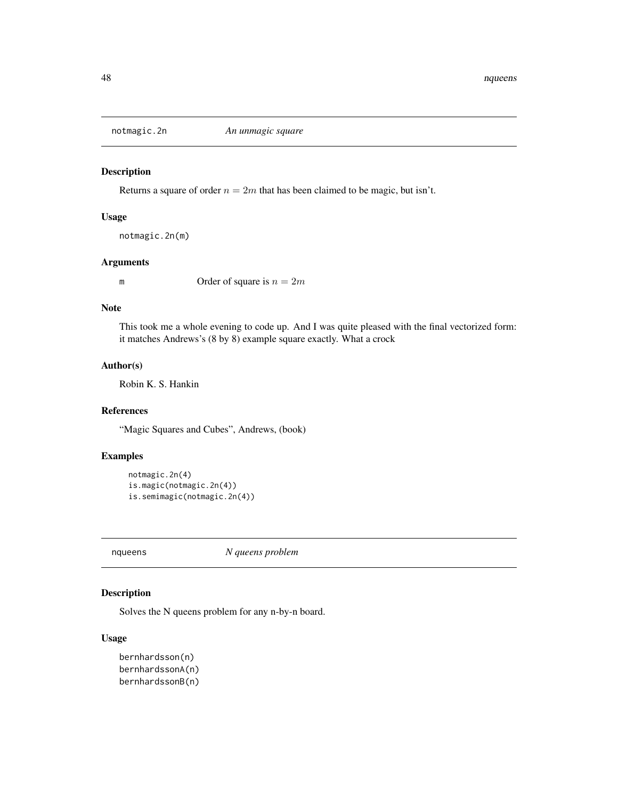<span id="page-47-0"></span>

# Description

Returns a square of order  $n = 2m$  that has been claimed to be magic, but isn't.

# Usage

notmagic.2n(m)

# Arguments

m Order of square is  $n = 2m$ 

# Note

This took me a whole evening to code up. And I was quite pleased with the final vectorized form: it matches Andrews's (8 by 8) example square exactly. What a crock

# Author(s)

Robin K. S. Hankin

# References

"Magic Squares and Cubes", Andrews, (book)

# Examples

```
notmagic.2n(4)
is.magic(notmagic.2n(4))
is.semimagic(notmagic.2n(4))
```
nqueens *N queens problem*

# Description

Solves the N queens problem for any n-by-n board.

# Usage

```
bernhardsson(n)
bernhardssonA(n)
bernhardssonB(n)
```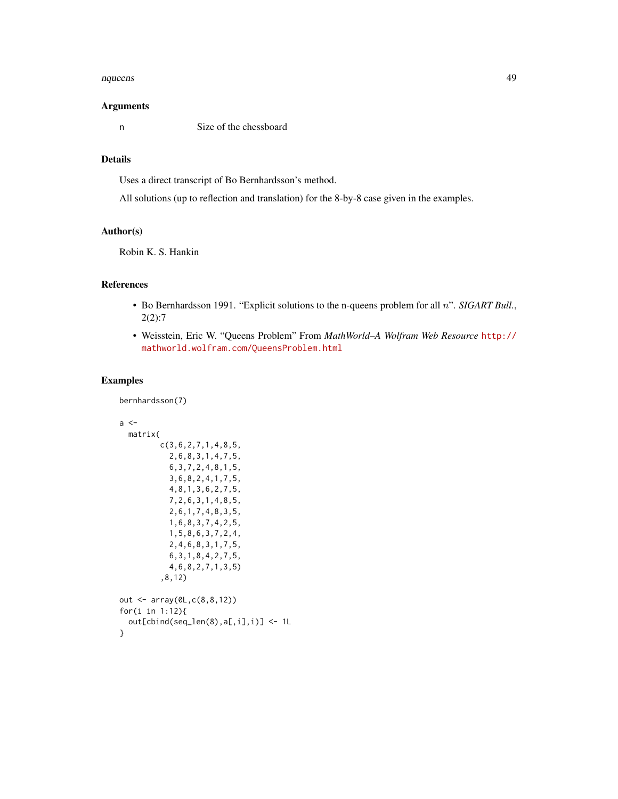#### nqueens **49**

## Arguments

n Size of the chessboard

#### Details

Uses a direct transcript of Bo Bernhardsson's method.

All solutions (up to reflection and translation) for the 8-by-8 case given in the examples.

#### Author(s)

Robin K. S. Hankin

# References

- Bo Bernhardsson 1991. "Explicit solutions to the n-queens problem for all n". *SIGART Bull.*, 2(2):7
- Weisstein, Eric W. "Queens Problem" From *MathWorld–A Wolfram Web Resource* [http://](http://mathworld.wolfram.com/QueensProblem.html) [mathworld.wolfram.com/QueensProblem.html](http://mathworld.wolfram.com/QueensProblem.html)

```
bernhardsson(7)
a <-
 matrix(
         c(3,6,2,7,1,4,8,5,
           2,6,8,3,1,4,7,5,
           6,3,7,2,4,8,1,5,
           3,6,8,2,4,1,7,5,
           4,8,1,3,6,2,7,5,
           7,2,6,3,1,4,8,5,
           2,6,1,7,4,8,3,5,
           1,6,8,3,7,4,2,5,
           1,5,8,6,3,7,2,4,
           2,4,6,8,3,1,7,5,
           6,3,1,8,4,2,7,5,
           4,6,8,2,7,1,3,5)
         ,8,12)
out <- array(0L,c(8,8,12))
for(i in 1:12){
 out[cbind(seq_len(8),a[,i],i)] <- 1L
}
```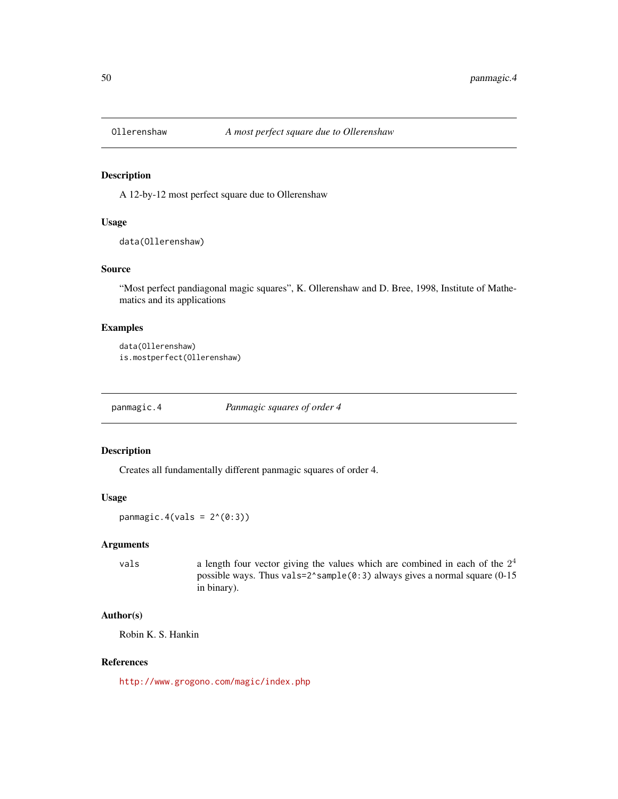<span id="page-49-0"></span>

#### Description

A 12-by-12 most perfect square due to Ollerenshaw

# Usage

data(Ollerenshaw)

#### Source

"Most perfect pandiagonal magic squares", K. Ollerenshaw and D. Bree, 1998, Institute of Mathematics and its applications

# Examples

```
data(Ollerenshaw)
is.mostperfect(Ollerenshaw)
```
<span id="page-49-1"></span>panmagic.4 *Panmagic squares of order 4*

# Description

Creates all fundamentally different panmagic squares of order 4.

#### Usage

panmagic.4(vals =  $2^*(0:3)$ )

# Arguments

vals a length four vector giving the values which are combined in each of the  $2<sup>4</sup>$ possible ways. Thus vals=2^sample(0:3) always gives a normal square (0-15 in binary).

# Author(s)

Robin K. S. Hankin

#### References

<http://www.grogono.com/magic/index.php>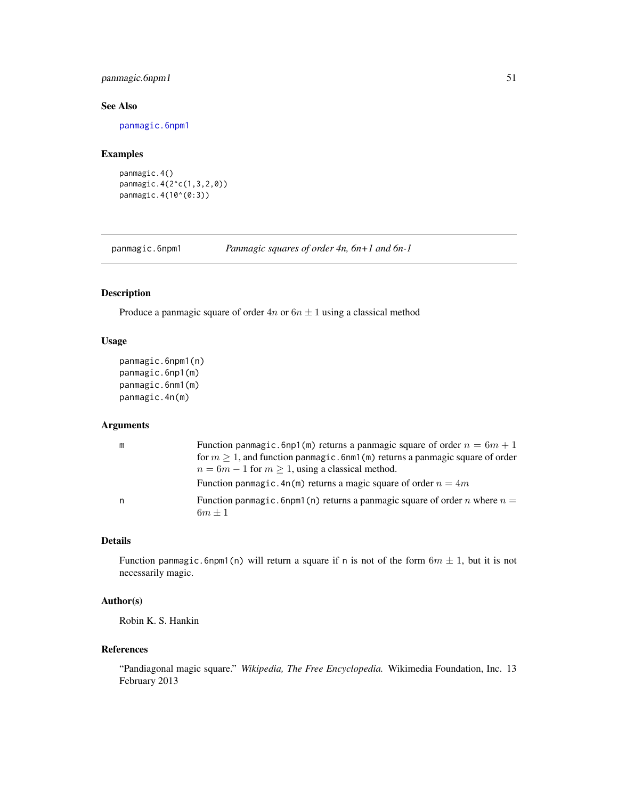# <span id="page-50-0"></span>panmagic.6npm1 51

# See Also

[panmagic.6npm1](#page-50-1)

#### Examples

```
panmagic.4()
panmagic.4(2^c(1,3,2,0))
panmagic.4(10^(0:3))
```
<span id="page-50-1"></span>panmagic.6npm1 *Panmagic squares of order 4n, 6n+1 and 6n-1*

# Description

Produce a panmagic square of order  $4n$  or  $6n \pm 1$  using a classical method

#### Usage

```
panmagic.6npm1(n)
panmagic.6np1(m)
panmagic.6nm1(m)
panmagic.4n(m)
```
#### Arguments

| m | Function panmagic.6np1(m) returns a panmagic square of order $n = 6m + 1$<br>for $m > 1$ , and function panmagic. 6nm1(m) returns a panmagic square of order |
|---|--------------------------------------------------------------------------------------------------------------------------------------------------------------|
|   | $n = 6m - 1$ for $m \ge 1$ , using a classical method.                                                                                                       |
|   | Function panmagic.4n(m) returns a magic square of order $n = 4m$                                                                                             |
|   | Function panmagic. 6npm1(n) returns a panmagic square of order n where $n =$<br>$6m + 1$                                                                     |

# Details

Function panmagic.6npm1(n) will return a square if n is not of the form  $6m \pm 1$ , but it is not necessarily magic.

#### Author(s)

Robin K. S. Hankin

# References

"Pandiagonal magic square." *Wikipedia, The Free Encyclopedia.* Wikimedia Foundation, Inc. 13 February 2013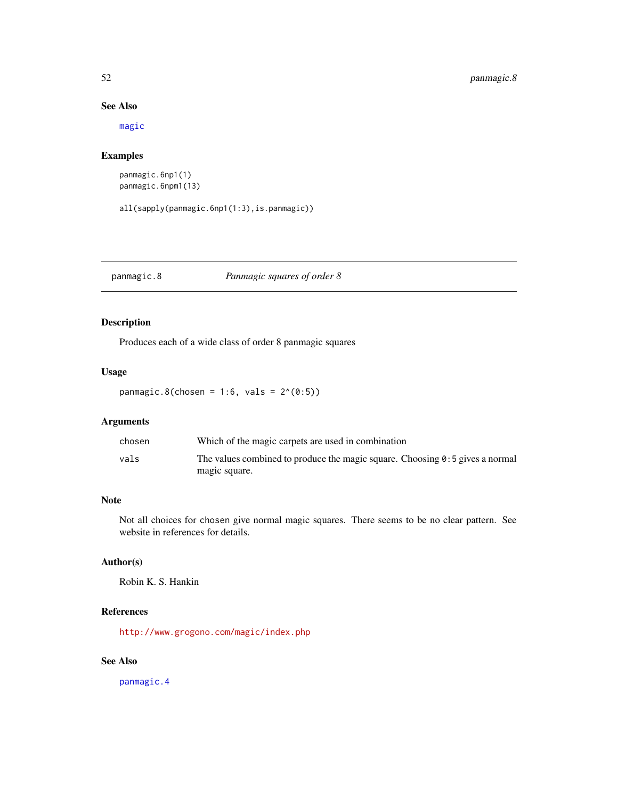# See Also

[magic](#page-36-1)

# Examples

```
panmagic.6np1(1)
panmagic.6npm1(13)
```
all(sapply(panmagic.6np1(1:3),is.panmagic))

panmagic.8 *Panmagic squares of order 8*

# Description

Produces each of a wide class of order 8 panmagic squares

# Usage

panmagic.8(chosen =  $1:6$ , vals =  $2^*(0:5)$ )

# Arguments

| chosen | Which of the magic carpets are used in combination                                    |
|--------|---------------------------------------------------------------------------------------|
| vals   | The values combined to produce the magic square. Choosing $\theta$ : 5 gives a normal |
|        | magic square.                                                                         |

#### Note

Not all choices for chosen give normal magic squares. There seems to be no clear pattern. See website in references for details.

# Author(s)

Robin K. S. Hankin

#### References

<http://www.grogono.com/magic/index.php>

# See Also

[panmagic.4](#page-49-1)

<span id="page-51-0"></span>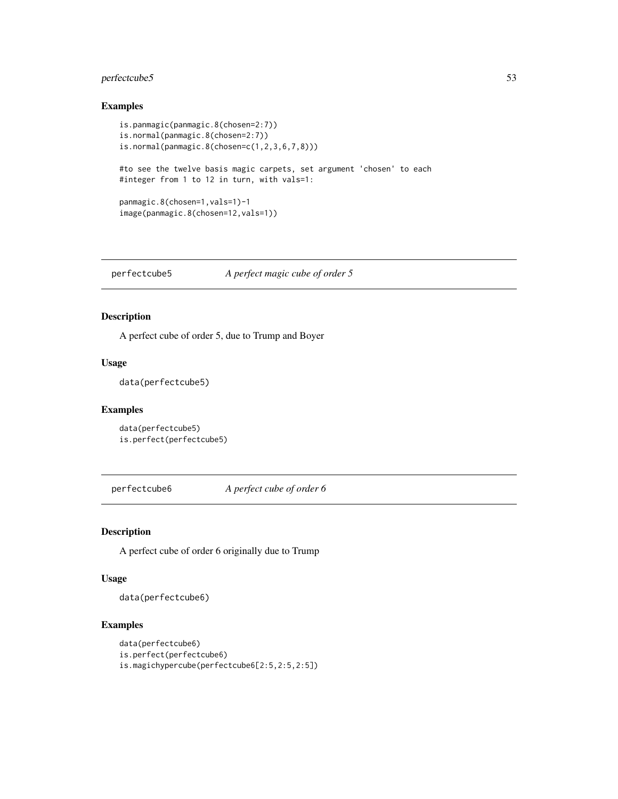# <span id="page-52-0"></span>perfectcube5 53

# Examples

```
is.panmagic(panmagic.8(chosen=2:7))
is.normal(panmagic.8(chosen=2:7))
is.normal(panmagic.8(chosen=c(1,2,3,6,7,8)))
#to see the twelve basis magic carpets, set argument 'chosen' to each
#integer from 1 to 12 in turn, with vals=1:
panmagic.8(chosen=1,vals=1)-1
image(panmagic.8(chosen=12,vals=1))
```
perfectcube5 *A perfect magic cube of order 5*

# Description

A perfect cube of order 5, due to Trump and Boyer

#### Usage

data(perfectcube5)

# Examples

```
data(perfectcube5)
is.perfect(perfectcube5)
```
perfectcube6 *A perfect cube of order 6*

# Description

A perfect cube of order 6 originally due to Trump

# Usage

data(perfectcube6)

```
data(perfectcube6)
is.perfect(perfectcube6)
is.magichypercube(perfectcube6[2:5,2:5,2:5])
```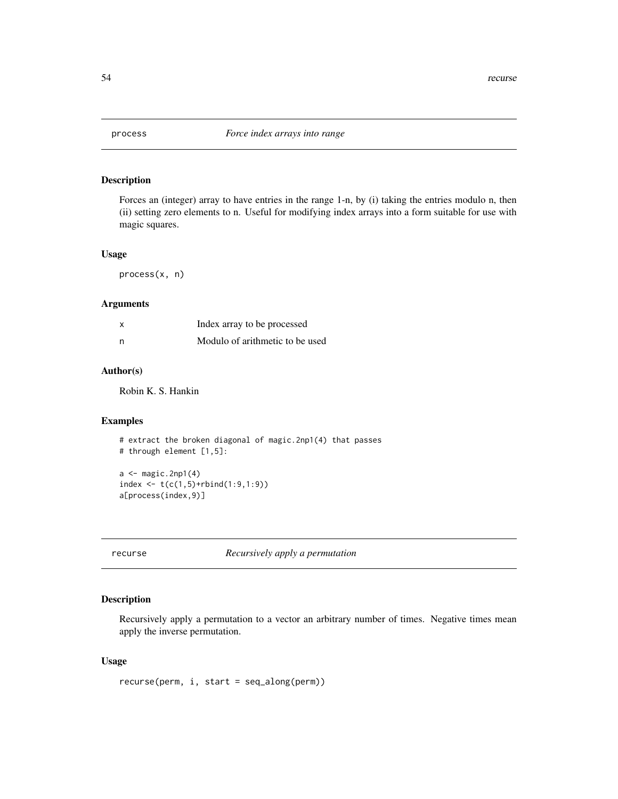<span id="page-53-0"></span>

#### Description

Forces an (integer) array to have entries in the range 1-n, by (i) taking the entries modulo n, then (ii) setting zero elements to n. Useful for modifying index arrays into a form suitable for use with magic squares.

#### Usage

process(x, n)

#### Arguments

| x | Index array to be processed     |
|---|---------------------------------|
| n | Modulo of arithmetic to be used |

# Author(s)

Robin K. S. Hankin

# Examples

```
# extract the broken diagonal of magic.2np1(4) that passes
# through element [1,5]:
a \leftarrow \text{magic}.2np1(4)index \leq t(c(1,5)+rbind(1:9,1:9))
```
<span id="page-53-1"></span>recurse *Recursively apply a permutation*

# Description

Recursively apply a permutation to a vector an arbitrary number of times. Negative times mean apply the inverse permutation.

# Usage

recurse(perm, i, start = seq\_along(perm))

a[process(index,9)]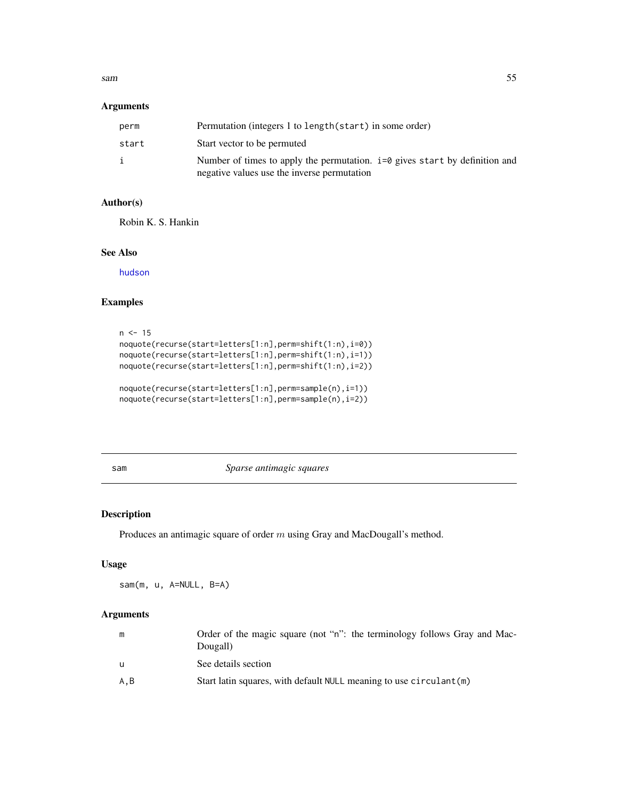<span id="page-54-0"></span> $s$ am 55

# Arguments

| perm  | Permutation (integers 1 to length (start) in some order)                      |
|-------|-------------------------------------------------------------------------------|
| start | Start vector to be permuted                                                   |
| i     | Number of times to apply the permutation. $i=0$ gives start by definition and |
|       | negative values use the inverse permutation                                   |

# Author(s)

Robin K. S. Hankin

# See Also

[hudson](#page-24-2)

# Examples

```
n < -15noquote(recurse(start=letters[1:n],perm=shift(1:n),i=0))
noquote(recurse(start=letters[1:n],perm=shift(1:n),i=1))
noquote(recurse(start=letters[1:n],perm=shift(1:n),i=2))
noquote(recurse(start=letters[1:n],perm=sample(n),i=1))
noquote(recurse(start=letters[1:n],perm=sample(n),i=2))
```
<span id="page-54-1"></span>sam *Sparse antimagic squares*

# Description

Produces an antimagic square of order m using Gray and MacDougall's method.

#### Usage

sam(m, u, A=NULL, B=A)

# Arguments

| m    | Order of the magic square (not "n": the terminology follows Gray and Mac-<br>Dougall) |
|------|---------------------------------------------------------------------------------------|
| u    | See details section                                                                   |
| A, B | Start latin squares, with default NULL meaning to use circulant (m)                   |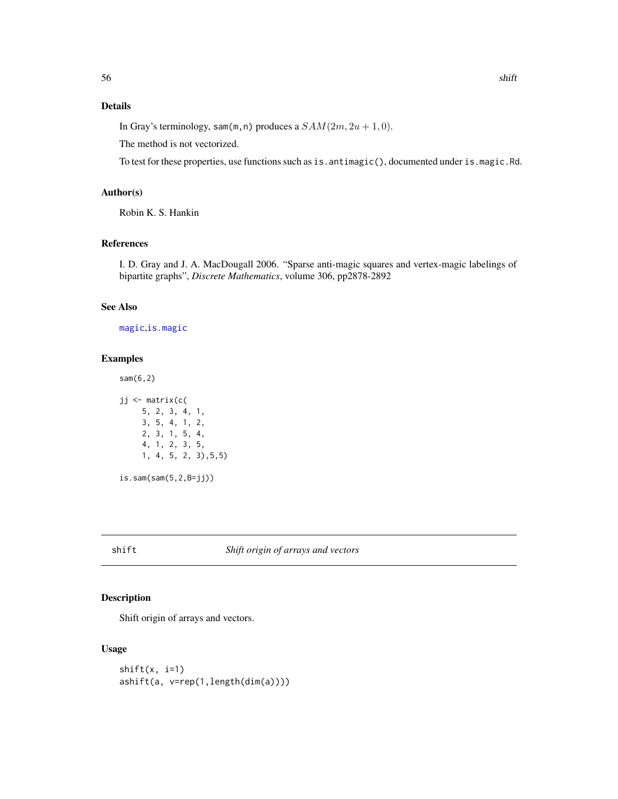# <span id="page-55-0"></span>Details

In Gray's terminology, sam(m, n) produces a  $SAM(2m, 2u + 1, 0)$ .

The method is not vectorized.

To test for these properties, use functions such as is.antimagic(), documented under is.magic.Rd.

# Author(s)

Robin K. S. Hankin

# References

I. D. Gray and J. A. MacDougall 2006. "Sparse anti-magic squares and vertex-magic labelings of bipartite graphs", *Discrete Mathematics*, volume 306, pp2878-2892

# See Also

[magic](#page-36-1),[is.magic](#page-25-1)

# Examples

sam(6,2)

```
jj <- matrix(c(
    5, 2, 3, 4, 1,
    3, 5, 4, 1, 2,
    2, 3, 1, 5, 4,
    4, 1, 2, 3, 5,
     1, 4, 5, 2, 3),5,5)
```
is.sam(sam(5,2,B=jj))

# shift *Shift origin of arrays and vectors*

# <span id="page-55-1"></span>Description

Shift origin of arrays and vectors.

# Usage

 $shift(x, i=1)$ ashift(a, v=rep(1,length(dim(a))))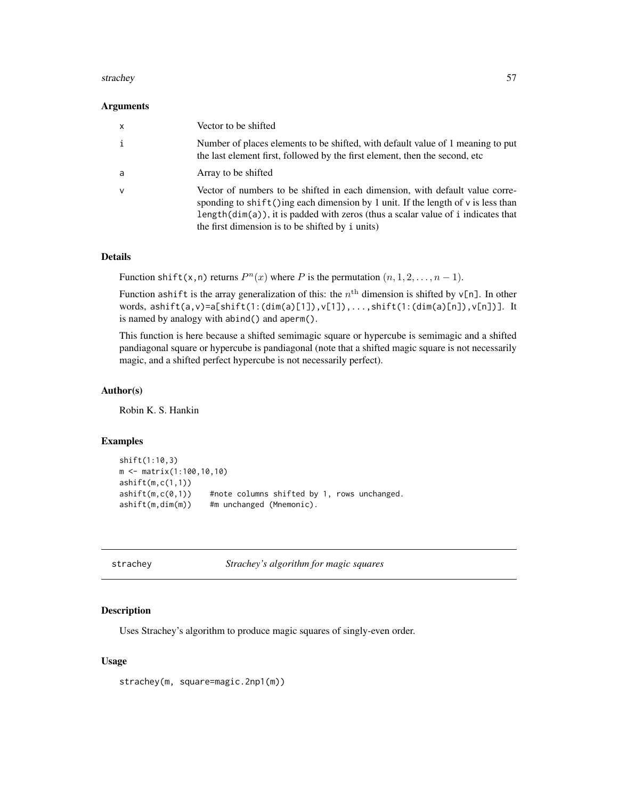#### <span id="page-56-0"></span>strachey 57

#### **Arguments**

| $\mathsf{x}$ | Vector to be shifted                                                                                                                                                                                                                                                                                            |
|--------------|-----------------------------------------------------------------------------------------------------------------------------------------------------------------------------------------------------------------------------------------------------------------------------------------------------------------|
|              | Number of places elements to be shifted, with default value of 1 meaning to put<br>the last element first, followed by the first element, then the second, etc.                                                                                                                                                 |
| a            | Array to be shifted                                                                                                                                                                                                                                                                                             |
| v            | Vector of numbers to be shifted in each dimension, with default value corre-<br>sponding to shift()ing each dimension by 1 unit. If the length of $\nu$ is less than<br>$length(dim(a))$ , it is padded with zeros (thus a scalar value of i indicates that<br>the first dimension is to be shifted by i units) |

#### Details

Function shift(x,n) returns  $P^{n}(x)$  where P is the permutation  $(n, 1, 2, ..., n - 1)$ .

Function ashift is the array generalization of this: the  $n<sup>th</sup>$  dimension is shifted by  $\vee$ [n]. In other words, ashift(a,v)=a[shift(1:(dim(a)[1]),v[1]),...,shift(1:(dim(a)[n]),v[n])]. It is named by analogy with abind() and aperm().

This function is here because a shifted semimagic square or hypercube is semimagic and a shifted pandiagonal square or hypercube is pandiagonal (note that a shifted magic square is not necessarily magic, and a shifted perfect hypercube is not necessarily perfect).

# Author(s)

Robin K. S. Hankin

#### Examples

```
shift(1:10,3)
m <- matrix(1:100,10,10)
ashift(m,c(1,1))
ashift(m,c(0,1)) #note columns shifted by 1, rows unchanged.
ashift(m,dim(m)) #m unchanged (Mnemonic).
```

| strachey |  |
|----------|--|
|----------|--|

strachey *Strachey's algorithm for magic squares*

#### Description

Uses Strachey's algorithm to produce magic squares of singly-even order.

# Usage

strachey(m, square=magic.2np1(m))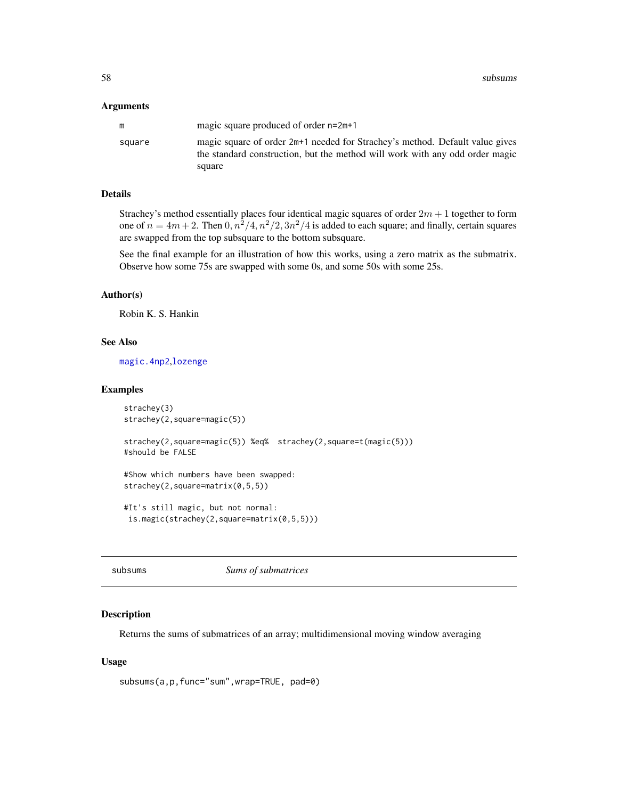<span id="page-57-0"></span>58 subsums and the contract of the contract of the contract of the contract of the contract of the contract of the contract of the contract of the contract of the contract of the contract of the contract of the contract of

#### **Arguments**

|        | magic square produced of order n=2m+1                                                                                                                                    |
|--------|--------------------------------------------------------------------------------------------------------------------------------------------------------------------------|
| square | magic square of order 2m <sup>+1</sup> needed for Strachey's method. Default value gives<br>the standard construction, but the method will work with any odd order magic |
|        | square                                                                                                                                                                   |

# Details

Strachey's method essentially places four identical magic squares of order  $2m + 1$  together to form one of  $n = 4m + 2$ . Then  $0, n^2/4, n^2/2, 3n^2/4$  is added to each square; and finally, certain squares are swapped from the top subsquare to the bottom subsquare.

See the final example for an illustration of how this works, using a zero matrix as the submatrix. Observe how some 75s are swapped with some 0s, and some 50s with some 25s.

#### Author(s)

Robin K. S. Hankin

#### See Also

[magic.4np2](#page-39-1),[lozenge](#page-35-1)

# Examples

```
strachey(3)
strachey(2,square=magic(5))
strachey(2,square=magic(5)) %eq% strachey(2,square=t(magic(5)))
#should be FALSE
#Show which numbers have been swapped:
strachey(2,square=matrix(0,5,5))
#It's still magic, but not normal:
 is.magic(strachey(2,square=matrix(0,5,5)))
```
<span id="page-57-1"></span>subsums *Sums of submatrices*

#### Description

Returns the sums of submatrices of an array; multidimensional moving window averaging

#### Usage

subsums(a,p,func="sum",wrap=TRUE, pad=0)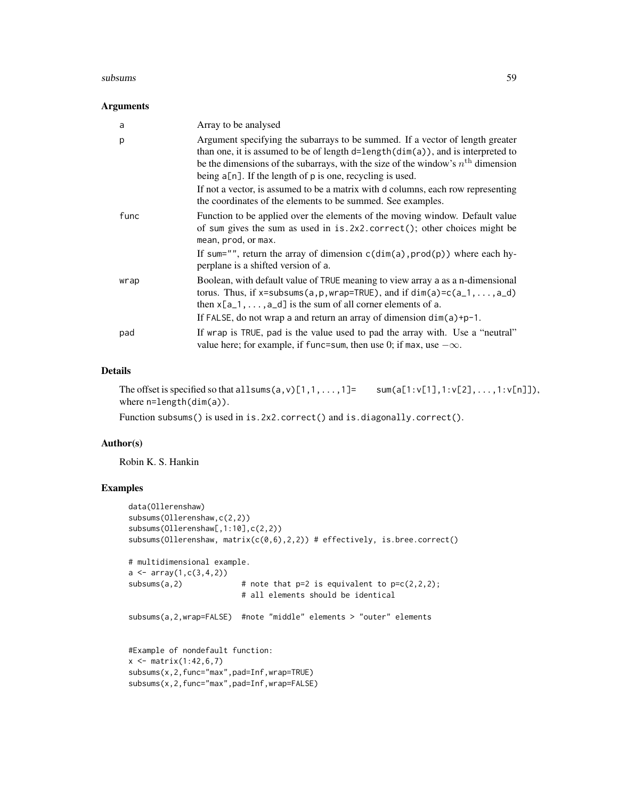#### subsums 59

#### Arguments

| a    | Array to be analysed                                                                                                                                                                                                                                                                                                                |
|------|-------------------------------------------------------------------------------------------------------------------------------------------------------------------------------------------------------------------------------------------------------------------------------------------------------------------------------------|
| p    | Argument specifying the subarrays to be summed. If a vector of length greater<br>than one, it is assumed to be of length $d = \text{length}(dim(a))$ , and is interpreted to<br>be the dimensions of the subarrays, with the size of the window's $nth$ dimension<br>being $a[n]$ . If the length of $p$ is one, recycling is used. |
|      | If not a vector, is assumed to be a matrix with d columns, each row representing<br>the coordinates of the elements to be summed. See examples.                                                                                                                                                                                     |
| func | Function to be applied over the elements of the moving window. Default value<br>of sum gives the sum as used in is. $2x^2$ . correct(); other choices might be<br>mean, prod, or max.                                                                                                                                               |
|      | If sum="", return the array of dimension $c$ (dim(a), prod(p)) where each hy-<br>perplane is a shifted version of a.                                                                                                                                                                                                                |
| wrap | Boolean, with default value of TRUE meaning to view array a as a n-dimensional<br>torus. Thus, if $x=$ subsums (a, p, wrap=TRUE), and if $dim(a)=c(a_1, \ldots, a_d)$<br>then $x[a_1, \ldots, a_d]$ is the sum of all corner elements of a.                                                                                         |
|      | If FALSE, do not wrap a and return an array of dimension $dim(a)+p-1$ .                                                                                                                                                                                                                                                             |
| pad  | If wrap is TRUE, pad is the value used to pad the array with. Use a "neutral"<br>value here; for example, if func=sum, then use 0; if max, use $-\infty$ .                                                                                                                                                                          |

# Details

The offset is specified so that all sums  $(a, v)[1,1,\ldots,1]=$  sum $(a[1:v[1],1:v[2],\ldots,1:v[n]])$ , where n=length(dim(a)).

Function subsums() is used in is.2x2.correct() and is.diagonally.correct().

# Author(s)

Robin K. S. Hankin

```
data(Ollerenshaw)
subsums(Ollerenshaw,c(2,2))
subsums(Ollerenshaw[,1:10],c(2,2))
subsums(Ollerenshaw, matrix(c(0,6),2,2)) # effectively, is.bree.correct()
# multidimensional example.
a \leftarrow array(1, c(3, 4, 2))subsums(a,2) \# note that p=2 is equivalent to p=c(2,2,2);
                         # all elements should be identical
subsums(a,2,wrap=FALSE) #note "middle" elements > "outer" elements
#Example of nondefault function:
x \le - matrix(1:42,6,7)
subsums(x,2,func="max",pad=Inf,wrap=TRUE)
subsums(x,2,func="max",pad=Inf,wrap=FALSE)
```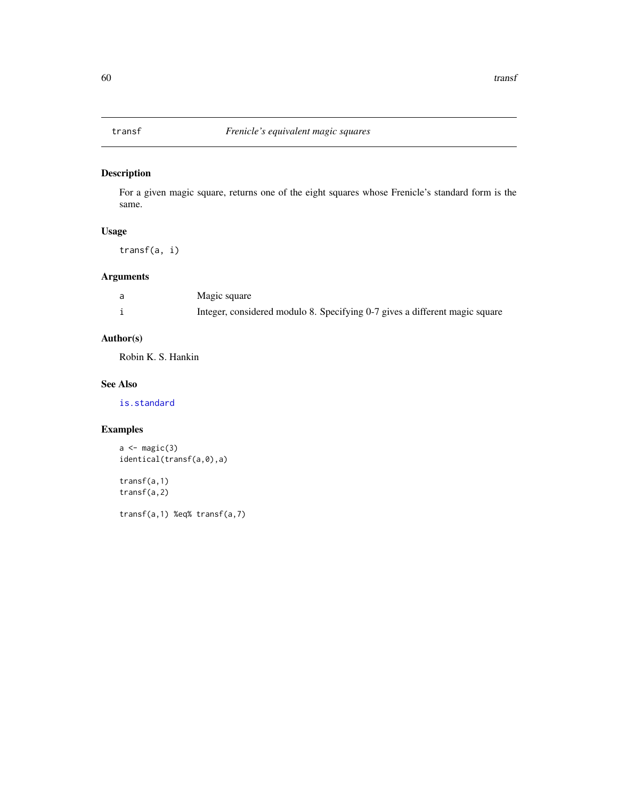<span id="page-59-0"></span>

# Description

For a given magic square, returns one of the eight squares whose Frenicle's standard form is the same.

# Usage

transf(a, i)

# Arguments

| Magic square                                                                |
|-----------------------------------------------------------------------------|
| Integer, considered modulo 8. Specifying 0-7 gives a different magic square |

# Author(s)

Robin K. S. Hankin

#### See Also

[is.standard](#page-13-2)

# Examples

```
a \leftarrow \text{magic}(3)identical(transf(a,0),a)
```
transf(a,1) transf(a,2)

transf(a,1) %eq% transf(a,7)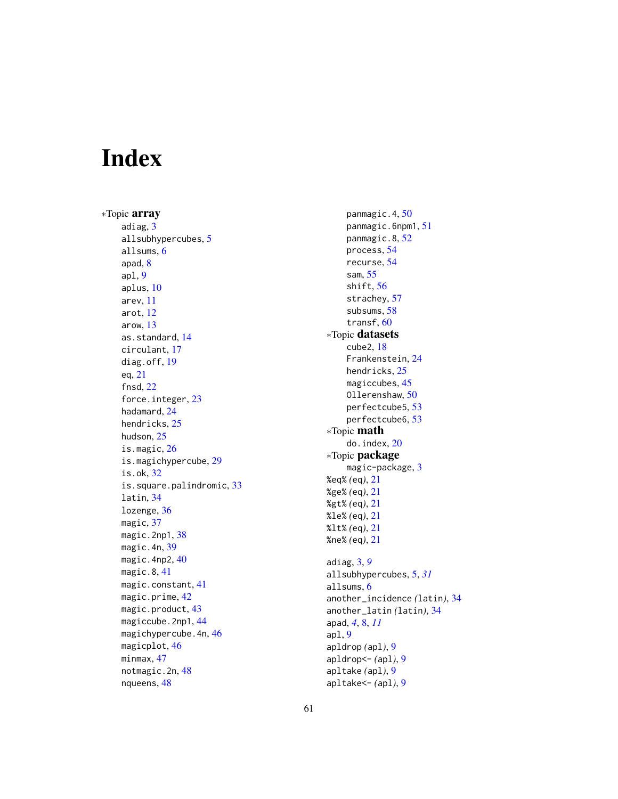# <span id="page-60-0"></span>Index

∗Topic array adiag, [3](#page-2-0) allsubhypercubes , [5](#page-4-0) allsums , [6](#page-5-0) apad , [8](#page-7-0) apl , [9](#page-8-0) aplus , [10](#page-9-0) arev , [11](#page-10-0) arot , [12](#page-11-0) arow , [13](#page-12-0) as.standard , [14](#page-13-0) circulant , [17](#page-16-0) diag.off, [19](#page-18-0) eq , [21](#page-20-0) fnsd , [22](#page-21-0) force.integer, [23](#page-22-0) hadamard , [24](#page-23-0) hendricks , [25](#page-24-0) hudson, [25](#page-24-0) is.magic , [26](#page-25-0) is.magichypercube , [29](#page-28-0) is.ok , [32](#page-31-0) is.square.palindromic , [33](#page-32-0) latin , [34](#page-33-0) lozenge , [36](#page-35-0) magic, [37](#page-36-0) magic.2np1,[38](#page-37-0) magic.4n , [39](#page-38-0) magic.4np2,[40](#page-39-0) magic.8 , [41](#page-40-0) magic.constant , [41](#page-40-0) magic.prime, [42](#page-41-0) magic.product, [43](#page-42-0) magiccube.2np1,[44](#page-43-0) magichypercube.4n, [46](#page-45-0) magicplot, [46](#page-45-0) minmax , [47](#page-46-0) notmagic.2n, [48](#page-47-0) nqueens , [48](#page-47-0)

panmagic.4 , [50](#page-49-0) panmagic.6npm1 , [51](#page-50-0) panmagic.8 , [52](#page-51-0) process , [54](#page-53-0) recurse , [54](#page-53-0) sam , [55](#page-54-0) shift , [56](#page-55-0) strachey, [57](#page-56-0) subsums , [58](#page-57-0) transf , [60](#page-59-0) ∗Topic datasets cube2 , [18](#page-17-0) Frankenstein , [24](#page-23-0) hendricks , [25](#page-24-0) magiccubes, [45](#page-44-0) Ollerenshaw , [50](#page-49-0) perfectcube5 , [53](#page-52-0) perfectcube6 , [53](#page-52-0) ∗Topic math do.index, [20](#page-19-0) ∗Topic package magic-package, [3](#page-2-0) %eq% *(*eq *)* , [21](#page-20-0) %ge% *(*eq *)* , [21](#page-20-0) %gt% *(*eq *)* , [21](#page-20-0) %le% *(*eq *)* , [21](#page-20-0) %lt% *(*eq *)* , [21](#page-20-0) %ne% *(*eq *)* , [21](#page-20-0) adiag , [3](#page-2-0) , *[9](#page-8-0)* allsubhypercubes , [5](#page-4-0) , *[31](#page-30-0)* allsums , [6](#page-5-0) another\_incidence *(*latin *)* , [34](#page-33-0) another\_latin *(*latin *)* , [34](#page-33-0) apad , *[4](#page-3-0)* , [8](#page-7-0) , *[11](#page-10-0)* apl , [9](#page-8-0) apldrop *(*apl *)* , [9](#page-8-0) apldrop<- *(*apl *)* , [9](#page-8-0) apltake *(*apl *)* , [9](#page-8-0)

apltake<- *(*apl *)* , [9](#page-8-0)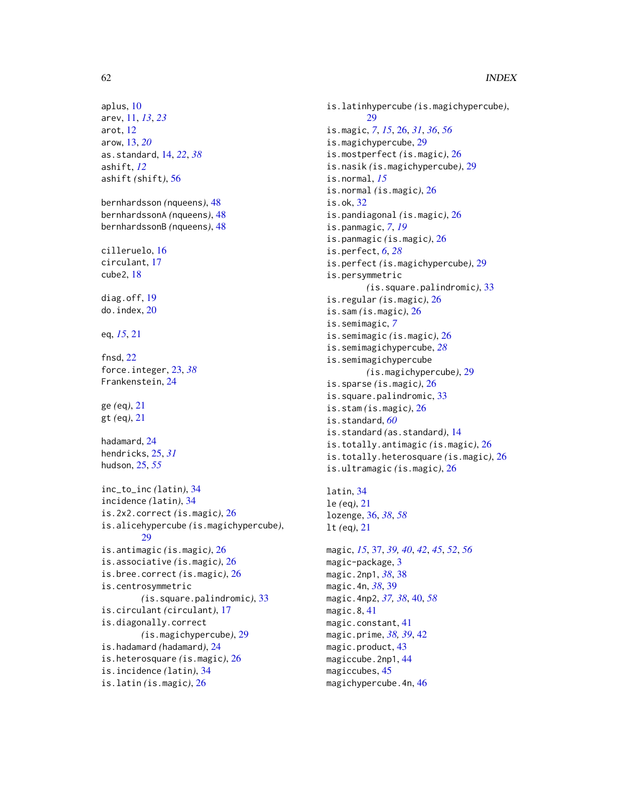```
aplus, 10
arev, 11, 13, 23
arot, 12
arow, 13, 20
as.standard, 14, 22, 38
ashift, 12
ashift (shift), 56
bernhardsson (nqueens), 48
bernhardssonA (nqueens), 48
bernhardssonB (nqueens), 48
cilleruelo, 16
circulant, 17
cube2, 18
diag.off, 19
do.index, 20
eq, 15, 21
fnsd, 22
force.integer, 23, 38
Frankenstein, 24
ge (eq), 21
gt (eq), 21
hadamard, 24
hendricks, 25, 31
hudson, 25, 55
inc_to_inc (latin), 34
incidence (latin), 34
is.2x2.correct (is.magic), 26
is.alicehypercube (is.magichypercube),
         29
is.antimagic (is.magic), 26
is.associative (is.magic), 26
is.bree.correct (is.magic), 26
is.centrosymmetric
        (is.square.palindromic), 33
is.circulant (circulant), 17
is.diagonally.correct
        (is.magichypercube), 29
is.hadamard (hadamard), 24
is.heterosquare (is.magic), 26
is.incidence (latin), 34
is.latin (is.magic), 26
```
is.latinhypercube *(*is.magichypercube*)*,  $29$ is.magic, *[7](#page-6-0)*, *[15](#page-14-0)*, [26,](#page-25-0) *[31](#page-30-0)*, *[36](#page-35-0)*, *[56](#page-55-0)* is.magichypercube, [29](#page-28-0) is.mostperfect *(*is.magic*)*, [26](#page-25-0) is.nasik *(*is.magichypercube*)*, [29](#page-28-0) is.normal, *[15](#page-14-0)* is.normal *(*is.magic*)*, [26](#page-25-0) is.ok, [32](#page-31-0) is.pandiagonal *(*is.magic*)*, [26](#page-25-0) is.panmagic, *[7](#page-6-0)*, *[19](#page-18-0)* is.panmagic *(*is.magic*)*, [26](#page-25-0) is.perfect, *[6](#page-5-0)*, *[28](#page-27-0)* is.perfect *(*is.magichypercube*)*, [29](#page-28-0) is.persymmetric *(*is.square.palindromic*)*, [33](#page-32-0) is.regular *(*is.magic*)*, [26](#page-25-0) is.sam *(*is.magic*)*, [26](#page-25-0) is.semimagic, *[7](#page-6-0)* is.semimagic *(*is.magic*)*, [26](#page-25-0) is.semimagichypercube, *[28](#page-27-0)* is.semimagichypercube *(*is.magichypercube*)*, [29](#page-28-0) is.sparse *(*is.magic*)*, [26](#page-25-0) is.square.palindromic, [33](#page-32-0) is.stam *(*is.magic*)*, [26](#page-25-0) is.standard, *[60](#page-59-0)* is.standard *(*as.standard*)*, [14](#page-13-0) is.totally.antimagic *(*is.magic*)*, [26](#page-25-0) is.totally.heterosquare *(*is.magic*)*, [26](#page-25-0) is.ultramagic *(*is.magic*)*, [26](#page-25-0) latin, [34](#page-33-0) le *(*eq*)*, [21](#page-20-0) lozenge, [36,](#page-35-0) *[38](#page-37-0)*, *[58](#page-57-0)* lt *(*eq*)*, [21](#page-20-0) magic, *[15](#page-14-0)*, [37,](#page-36-0) *[39,](#page-38-0) [40](#page-39-0)*, *[42](#page-41-0)*, *[45](#page-44-0)*, *[52](#page-51-0)*, *[56](#page-55-0)* magic-package, [3](#page-2-0) magic.2np1, *[38](#page-37-0)*, [38](#page-37-0) magic.4n, *[38](#page-37-0)*, [39](#page-38-0) magic.4np2, *[37,](#page-36-0) [38](#page-37-0)*, [40,](#page-39-0) *[58](#page-57-0)* magic.8, [41](#page-40-0) magic.constant, [41](#page-40-0) magic.prime, *[38,](#page-37-0) [39](#page-38-0)*, [42](#page-41-0) magic.product, [43](#page-42-0) magiccube.2np1, [44](#page-43-0) magiccubes, [45](#page-44-0)

magichypercube.4n, [46](#page-45-0)